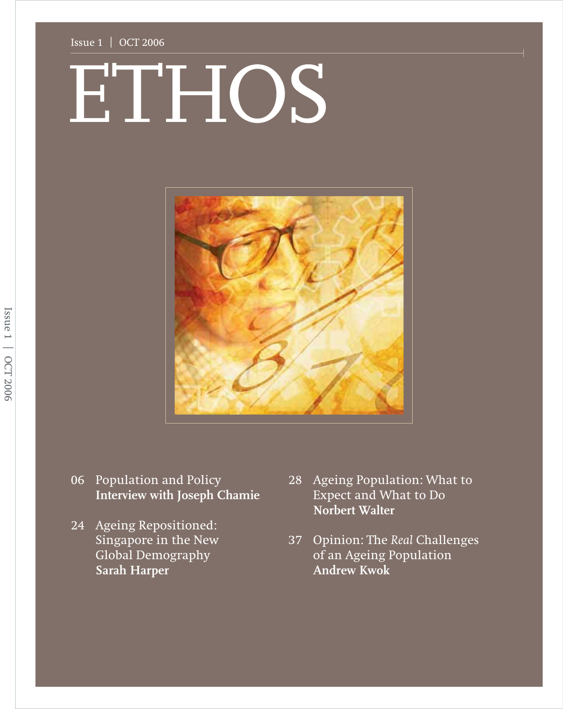#### Issue 1 | OCT 2006

# ETHOS ETHOS



- 06 Population and Policy **Interview with Joseph Chamie**
- 24 Ageing Repositioned: Singapore in the New Global Demography **Sarah Harper**
- 28 Ageing Population: What to Expect and What to Do **Norbert Walter**
- 37 Opinion: The *Real* Challenges of an Ageing Population **Andrew Kwok**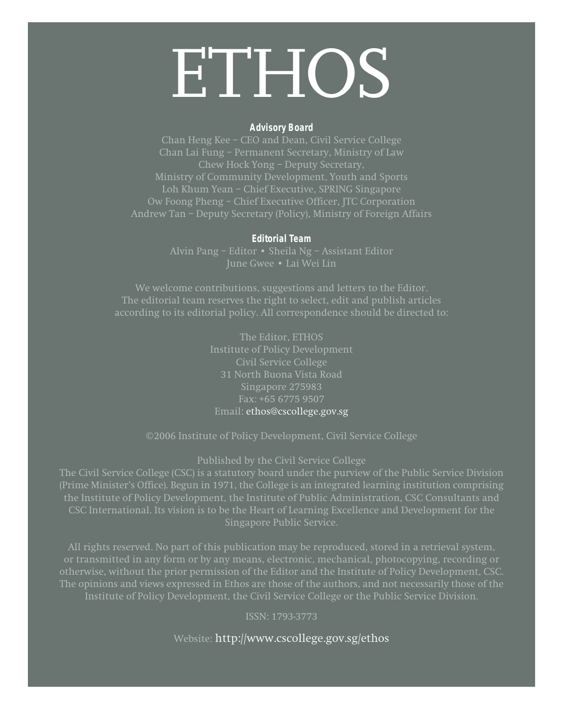## **ETHOS**

#### **Advisory Board**

Chan Heng Kee – CEO and Dean, Civil Service College Chan Lai Fung – Permanent Secretary, Ministry of Law Chew Hock Yong – Deputy Secretary, Ministry of Community Development, Youth and Sports Loh Khum Yean – Chief Executive, SPRING Singapore Ow Foong Pheng – Chief Executive Officer, JTC Corporation Andrew Tan – Deputy Secretary (Policy), Ministry of Foreign Affairs

#### **Editorial Team**

Alvin Pang – Editor • Sheila Ng – Assistant Editor June Gwee • Lai Wei Lin

We welcome contributions, suggestions and letters to the Editor. The editorial team reserves the right to select, edit and publish articles according to its editorial policy. All correspondence should be directed to:

> The Editor, ETHOS Institute of Policy Development Civil Service College 31 North Buona Vista Road Singapore 275983 Fax: +65 6775 9507 Email: ethos@cscollege.gov.sg

©2006 Institute of Policy Development, Civil Service College

Published by the Civil Service College

(Prime Minister's Office). Begun in 1971, the College is an integrated learning institution comprising the Institute of Policy Development, the Institute of Public Administration, CSC Consultants and CSC International. Its vision is to be the Heart of Learning Excellence and Development for the Singapore Public Service.

All rights reserved. No part of this publication may be reproduced, stored in a retrieval system, or transmitted in any form or by any means, electronic, mechanical, photocopying, recording or otherwise, without the prior permission of the Editor and the Institute of Policy Development, CSC. The opinions and views expressed in Ethos are those of the authors, and not necessarily those of the

ISSN: 1793-3773

Website: http://www.cscollege.gov.sg/ethos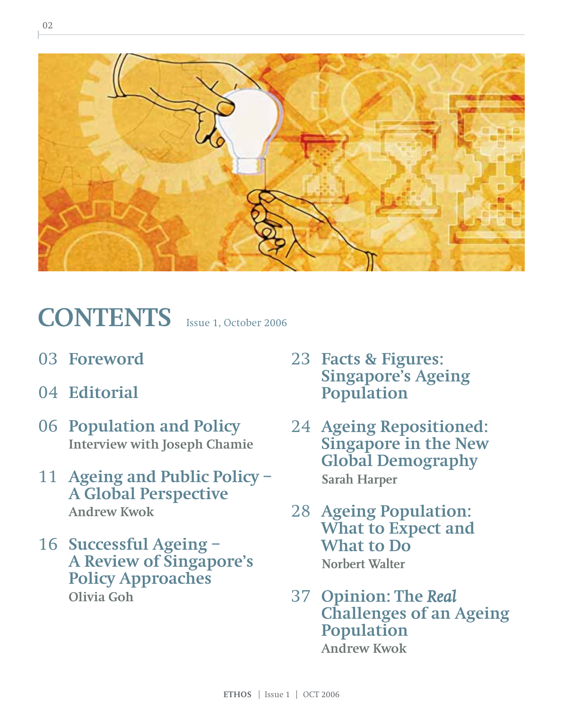

## CONTENTS **Issue 1, October 2006**

- 03 **Foreword**
- 04 **Editorial**
- 06 **Population and Policy Interview with Joseph Chamie**
- 11 **Ageing and Public Policy – A Global Perspective Andrew Kwok**
- 16 **Successful Ageing – A Review of Singapore's Policy Approaches Olivia Goh**
- 23 **Facts & Figures: Singapore's Ageing Population**
- 24 **Ageing Repositioned: Singapore in the New Global Demography Sarah Harper**
- 28 **Ageing Population: What to Expect and What to Do Norbert Walter**
- 37 **Opinion: The** *Real* **Challenges of an Ageing Population Andrew Kwok**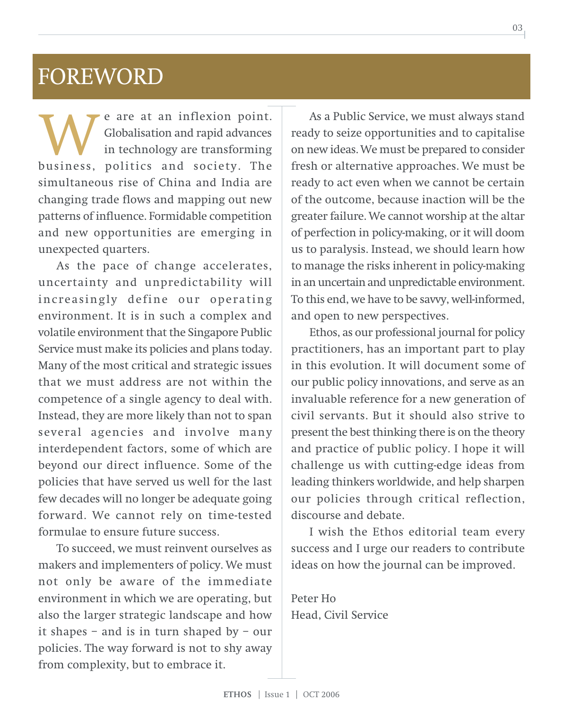## FOREWORD

e are at an inflexion point. Globalisation and rapid advances in technology are transforming **business, politics and society.** The business, politics and society. The simultaneous rise of China and India are changing trade flows and mapping out new patterns of influence. Formidable competition and new opportunities are emerging in unexpected quarters.

As the pace of change accelerates, uncertainty and unpredictability will increasingly define our operating environment. It is in such a complex and volatile environment that the Singapore Public Service must make its policies and plans today. Many of the most critical and strategic issues that we must address are not within the competence of a single agency to deal with. Instead, they are more likely than not to span several agencies and involve many interdependent factors, some of which are beyond our direct influence. Some of the policies that have served us well for the last few decades will no longer be adequate going forward. We cannot rely on time-tested formulae to ensure future success.

To succeed, we must reinvent ourselves as makers and implementers of policy. We must not only be aware of the immediate environment in which we are operating, but also the larger strategic landscape and how it shapes – and is in turn shaped by – our policies. The way forward is not to shy away from complexity, but to embrace it.

As a Public Service, we must always stand ready to seize opportunities and to capitalise on new ideas. We must be prepared to consider fresh or alternative approaches. We must be ready to act even when we cannot be certain of the outcome, because inaction will be the greater failure. We cannot worship at the altar of perfection in policy-making, or it will doom us to paralysis. Instead, we should learn how to manage the risks inherent in policy-making in an uncertain and unpredictable environment. To this end, we have to be savvy, well-informed, and open to new perspectives.

Ethos, as our professional journal for policy practitioners, has an important part to play in this evolution. It will document some of our public policy innovations, and serve as an invaluable reference for a new generation of civil servants. But it should also strive to present the best thinking there is on the theory and practice of public policy. I hope it will challenge us with cutting-edge ideas from leading thinkers worldwide, and help sharpen our policies through critical reflection, discourse and debate.

I wish the Ethos editorial team every success and I urge our readers to contribute ideas on how the journal can be improved.

Peter Ho Head, Civil Service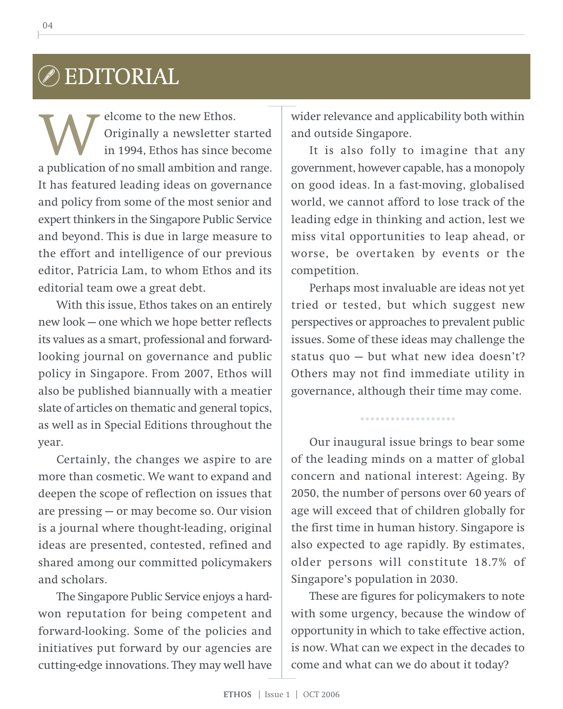## EDITORIAL

elcome to the new Ethos. Originally a newsletter started in 1994, Ethos has since become **A** criginally a new Ethos.<br>
in 1994, Ethos has since become<br>
a publication of no small ambition and range. It has featured leading ideas on governance and policy from some of the most senior and expert thinkers in the Singapore Public Service and beyond. This is due in large measure to the effort and intelligence of our previous editor, Patricia Lam, to whom Ethos and its editorial team owe a great debt.

With this issue, Ethos takes on an entirely new look — one which we hope better reflects its values as a smart, professional and forwardlooking journal on governance and public policy in Singapore. From 2007, Ethos will also be published biannually with a meatier slate of articles on thematic and general topics, as well as in Special Editions throughout the year.

Certainly, the changes we aspire to are more than cosmetic. We want to expand and deepen the scope of reflection on issues that are pressing — or may become so. Our vision is a journal where thought-leading, original ideas are presented, contested, refined and shared among our committed policymakers and scholars.

The Singapore Public Service enjoys a hardwon reputation for being competent and forward-looking. Some of the policies and initiatives put forward by our agencies are cutting-edge innovations. They may well have wider relevance and applicability both within and outside Singapore.

It is also folly to imagine that any government, however capable, has a monopoly on good ideas. In a fast-moving, globalised world, we cannot afford to lose track of the leading edge in thinking and action, lest we miss vital opportunities to leap ahead, or worse, be overtaken by events or the competition.

Perhaps most invaluable are ideas not yet tried or tested, but which suggest new perspectives or approaches to prevalent public issues. Some of these ideas may challenge the status quo — but what new idea doesn't? Others may not find immediate utility in governance, although their time may come.

\*\*\*\*\*\*\*\*\*\*\*\*\*\*\*\*\*\*\*

Our inaugural issue brings to bear some of the leading minds on a matter of global concern and national interest: Ageing. By 2050, the number of persons over 60 years of age will exceed that of children globally for the first time in human history. Singapore is also expected to age rapidly. By estimates, older persons will constitute 18.7% of Singapore's population in 2030.

These are figures for policymakers to note with some urgency, because the window of opportunity in which to take effective action, is now. What can we expect in the decades to come and what can we do about it today?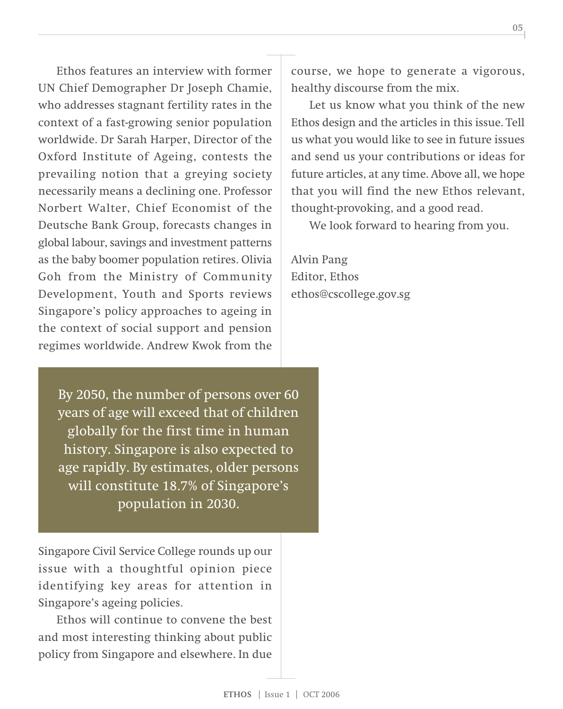Ethos features an interview with former UN Chief Demographer Dr Joseph Chamie, who addresses stagnant fertility rates in the context of a fast-growing senior population worldwide. Dr Sarah Harper, Director of the Oxford Institute of Ageing, contests the prevailing notion that a greying society necessarily means a declining one. Professor Norbert Walter, Chief Economist of the Deutsche Bank Group, forecasts changes in global labour, savings and investment patterns as the baby boomer population retires. Olivia Goh from the Ministry of Community Development, Youth and Sports reviews Singapore's policy approaches to ageing in the context of social support and pension regimes worldwide. Andrew Kwok from the

By 2050, the number of persons over 60 years of age will exceed that of children globally for the first time in human history. Singapore is also expected to age rapidly. By estimates, older persons will constitute 18.7% of Singapore's population in 2030.

Singapore Civil Service College rounds up our issue with a thoughtful opinion piece identifying key areas for attention in Singapore's ageing policies.

Ethos will continue to convene the best and most interesting thinking about public policy from Singapore and elsewhere. In due

course, we hope to generate a vigorous, healthy discourse from the mix.

Let us know what you think of the new Ethos design and the articles in this issue. Tell us what you would like to see in future issues and send us your contributions or ideas for future articles, at any time. Above all, we hope that you will find the new Ethos relevant, thought-provoking, and a good read.

We look forward to hearing from you.

Alvin Pang Editor, Ethos ethos@cscollege.gov.sg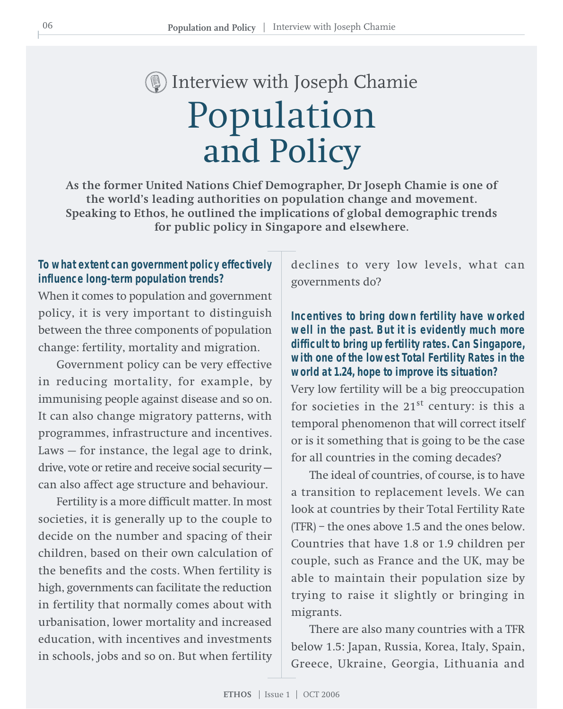## Population and Policy Interview with Joseph Chamie

**As the former United Nations Chief Demographer, Dr Joseph Chamie is one of the world's leading authorities on population change and movement. Speaking to Ethos, he outlined the implications of global demographic trends for public policy in Singapore and elsewhere.**

#### **To what extent can government policy effectively influence long-term population trends?**

When it comes to population and government policy, it is very important to distinguish between the three components of population change: fertility, mortality and migration.

Government policy can be very effective in reducing mortality, for example, by immunising people against disease and so on. It can also change migratory patterns, with programmes, infrastructure and incentives. Laws — for instance, the legal age to drink, drive, vote or retire and receive social security can also affect age structure and behaviour.

Fertility is a more difficult matter. In most societies, it is generally up to the couple to decide on the number and spacing of their children, based on their own calculation of the benefits and the costs. When fertility is high, governments can facilitate the reduction in fertility that normally comes about with urbanisation, lower mortality and increased education, with incentives and investments in schools, jobs and so on. But when fertility

declines to very low levels, what can governments do?

#### **Incentives to bring down fertility have worked well in the past. But it is evidently much more difficult to bring up fertility rates. Can Singapore, with one of the lowest Total Fertility Rates in the world at 1.24, hope to improve its situation?**

Very low fertility will be a big preoccupation for societies in the  $21<sup>st</sup>$  century: is this a temporal phenomenon that will correct itself or is it something that is going to be the case for all countries in the coming decades?

The ideal of countries, of course, is to have a transition to replacement levels. We can look at countries by their Total Fertility Rate (TFR) – the ones above 1.5 and the ones below. Countries that have 1.8 or 1.9 children per couple, such as France and the UK, may be able to maintain their population size by trying to raise it slightly or bringing in migrants.

There are also many countries with a TFR below 1.5: Japan, Russia, Korea, Italy, Spain, Greece, Ukraine, Georgia, Lithuania and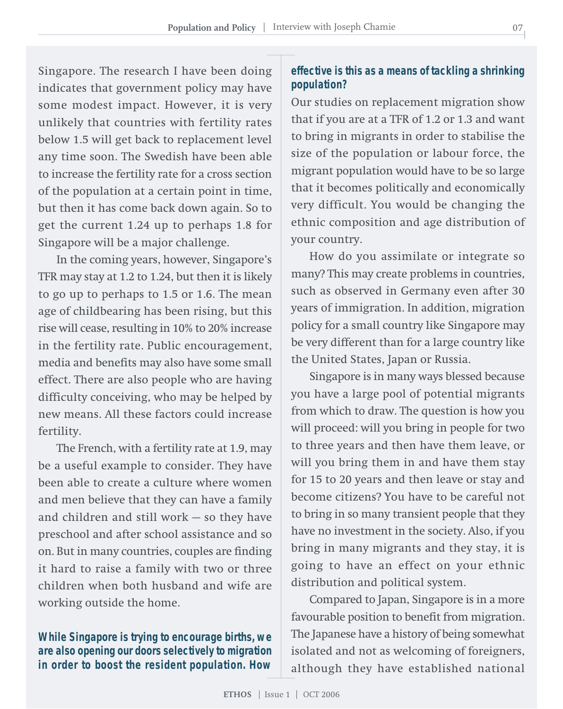Singapore. The research I have been doing indicates that government policy may have some modest impact. However, it is very unlikely that countries with fertility rates below 1.5 will get back to replacement level any time soon. The Swedish have been able to increase the fertility rate for a cross section of the population at a certain point in time, but then it has come back down again. So to get the current 1.24 up to perhaps 1.8 for Singapore will be a major challenge.

In the coming years, however, Singapore's TFR may stay at 1.2 to 1.24, but then it is likely to go up to perhaps to 1.5 or 1.6. The mean age of childbearing has been rising, but this rise will cease, resulting in 10% to 20% increase in the fertility rate. Public encouragement, media and benefits may also have some small effect. There are also people who are having difficulty conceiving, who may be helped by new means. All these factors could increase fertility.

The French, with a fertility rate at 1.9, may be a useful example to consider. They have been able to create a culture where women and men believe that they can have a family and children and still work — so they have preschool and after school assistance and so on. But in many countries, couples are finding it hard to raise a family with two or three children when both husband and wife are working outside the home.

**While Singapore is trying to encourage births, we are also opening our doors selectively to migration in order to boost the resident population. How**

#### **effective is this as a means of tackling a shrinking population?**

Our studies on replacement migration show that if you are at a TFR of 1.2 or 1.3 and want to bring in migrants in order to stabilise the size of the population or labour force, the migrant population would have to be so large that it becomes politically and economically very difficult. You would be changing the ethnic composition and age distribution of your country.

How do you assimilate or integrate so many? This may create problems in countries, such as observed in Germany even after 30 years of immigration. In addition, migration policy for a small country like Singapore may be very different than for a large country like the United States, Japan or Russia.

Singapore is in many ways blessed because you have a large pool of potential migrants from which to draw. The question is how you will proceed: will you bring in people for two to three years and then have them leave, or will you bring them in and have them stay for 15 to 20 years and then leave or stay and become citizens? You have to be careful not to bring in so many transient people that they have no investment in the society. Also, if you bring in many migrants and they stay, it is going to have an effect on your ethnic distribution and political system.

Compared to Japan, Singapore is in a more favourable position to benefit from migration. The Japanese have a history of being somewhat isolated and not as welcoming of foreigners, although they have established national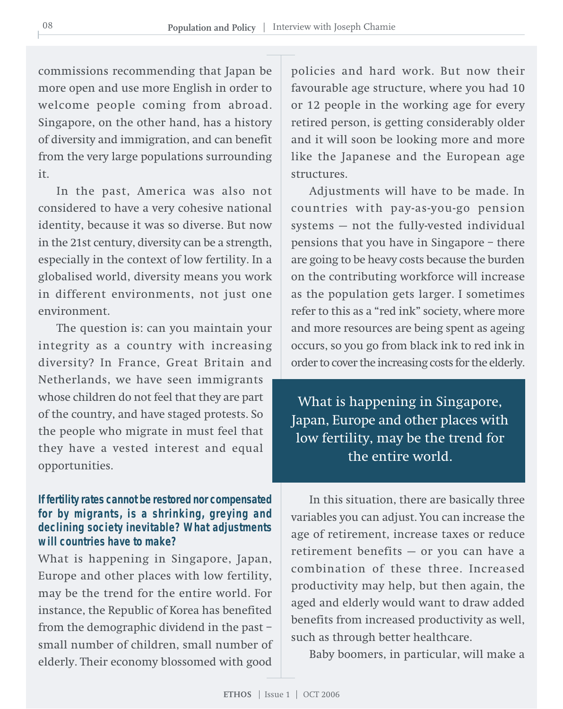commissions recommending that Japan be more open and use more English in order to welcome people coming from abroad. Singapore, on the other hand, has a history of diversity and immigration, and can benefit from the very large populations surrounding it.

In the past, America was also not considered to have a very cohesive national identity, because it was so diverse. But now in the 21st century, diversity can be a strength, especially in the context of low fertility. In a globalised world, diversity means you work in different environments, not just one environment.

The question is: can you maintain your integrity as a country with increasing diversity? In France, Great Britain and Netherlands, we have seen immigrants whose children do not feel that they are part of the country, and have staged protests. So the people who migrate in must feel that they have a vested interest and equal opportunities.

#### **If fertility rates cannot be restored nor compensated for by migrants, is a shrinking, greying and declining society inevitable? What adjustments will countries have to make?**

What is happening in Singapore, Japan, Europe and other places with low fertility, may be the trend for the entire world. For instance, the Republic of Korea has benefited from the demographic dividend in the past – small number of children, small number of elderly. Their economy blossomed with good

policies and hard work. But now their favourable age structure, where you had 10 or 12 people in the working age for every retired person, is getting considerably older and it will soon be looking more and more like the Japanese and the European age structures.

Adjustments will have to be made. In countries with pay-as-you-go pension systems — not the fully-vested individual pensions that you have in Singapore – there are going to be heavy costs because the burden on the contributing workforce will increase as the population gets larger. I sometimes refer to this as a "red ink" society, where more and more resources are being spent as ageing occurs, so you go from black ink to red ink in order to cover the increasing costs for the elderly.

What is happening in Singapore, Japan, Europe and other places with low fertility, may be the trend for the entire world.

In this situation, there are basically three variables you can adjust. You can increase the age of retirement, increase taxes or reduce retirement benefits — or you can have a combination of these three. Increased productivity may help, but then again, the aged and elderly would want to draw added benefits from increased productivity as well, such as through better healthcare.

Baby boomers, in particular, will make a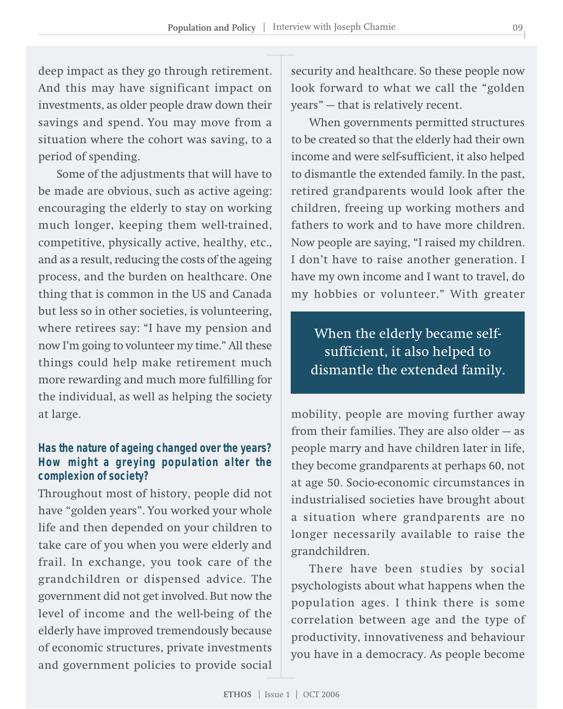deep impact as they go through retirement. And this may have significant impact on investments, as older people draw down their savings and spend. You may move from a situation where the cohort was saving, to a period of spending.

Some of the adjustments that will have to be made are obvious, such as active ageing: encouraging the elderly to stay on working much longer, keeping them well-trained, competitive, physically active, healthy, etc., and as a result, reducing the costs of the ageing process, and the burden on healthcare. One thing that is common in the US and Canada but less so in other societies, is volunteering, where retirees say: "I have my pension and now I'm going to volunteer my time." All these things could help make retirement much more rewarding and much more fulfilling for the individual, as well as helping the society at large.

#### **Has the nature of ageing changed over the years? How might a greying population alter the complexion of society?**

Throughout most of history, people did not have "golden years". You worked your whole life and then depended on your children to take care of you when you were elderly and frail. In exchange, you took care of the grandchildren or dispensed advice. The government did not get involved. But now the level of income and the well-being of the elderly have improved tremendously because of economic structures, private investments and government policies to provide social

security and healthcare. So these people now look forward to what we call the "golden years" — that is relatively recent.

When governments permitted structures to be created so that the elderly had their own income and were self-sufficient, it also helped to dismantle the extended family. In the past, retired grandparents would look after the children, freeing up working mothers and fathers to work and to have more children. Now people are saying, "I raised my children. I don't have to raise another generation. I have my own income and I want to travel, do my hobbies or volunteer." With greater

When the elderly became selfsufficient, it also helped to dismantle the extended family.

mobility, people are moving further away from their families. They are also older — as people marry and have children later in life, they become grandparents at perhaps 60, not at age 50. Socio-economic circumstances in industrialised societies have brought about a situation where grandparents are no longer necessarily available to raise the grandchildren.

There have been studies by social psychologists about what happens when the population ages. I think there is some correlation between age and the type of productivity, innovativeness and behaviour you have in a democracy. As people become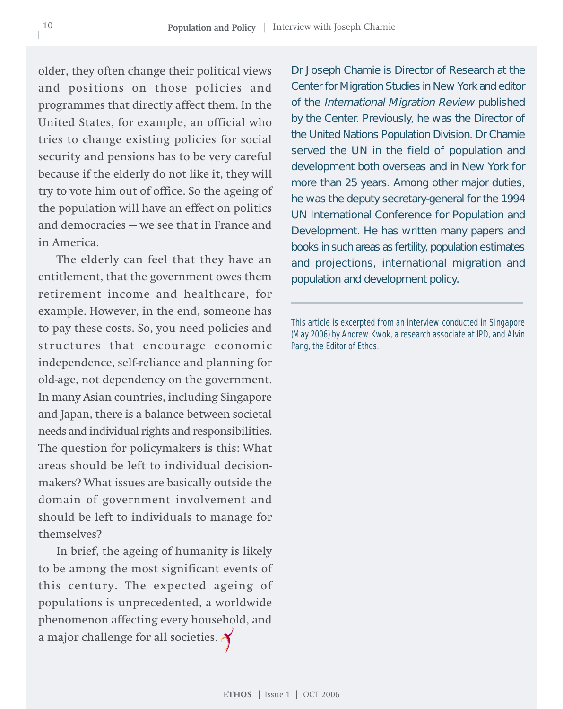older, they often change their political views and positions on those policies and programmes that directly affect them. In the United States, for example, an official who tries to change existing policies for social security and pensions has to be very careful because if the elderly do not like it, they will try to vote him out of office. So the ageing of the population will have an effect on politics and democracies — we see that in France and in America.

The elderly can feel that they have an entitlement, that the government owes them retirement income and healthcare, for example. However, in the end, someone has to pay these costs. So, you need policies and structures that encourage economic independence, self-reliance and planning for old-age, not dependency on the government. In many Asian countries, including Singapore and Japan, there is a balance between societal needs and individual rights and responsibilities. The question for policymakers is this: What areas should be left to individual decisionmakers? What issues are basically outside the domain of government involvement and should be left to individuals to manage for themselves?

In brief, the ageing of humanity is likely to be among the most significant events of this century. The expected ageing of populations is unprecedented, a worldwide phenomenon affecting every household, and a major challenge for all societies.

Dr Joseph Chamie is Director of Research at the Center for Migration Studies in New York and editor of the International Migration Review published by the Center. Previously, he was the Director of the United Nations Population Division. Dr Chamie served the UN in the field of population and development both overseas and in New York for more than 25 years. Among other major duties, he was the deputy secretary-general for the 1994 UN International Conference for Population and Development. He has written many papers and books in such areas as fertility, population estimates and projections, international migration and population and development policy.

This article is excerpted from an interview conducted in Singapore (May 2006) by Andrew Kwok, a research associate at IPD, and Alvin Pang, the Editor of Ethos.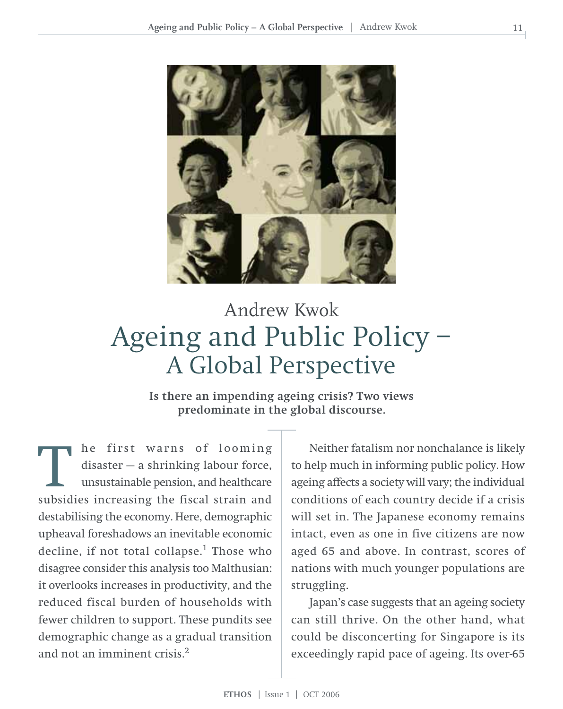

## Ageing and Public Policy – A Global Perspective Andrew Kwok

**Is there an impending ageing crisis? Two views predominate in the global discourse.**

he first warns of looming disaster — a shrinking labour force, unsustainable pension, and healthcare The first warns of looming<br>disaster – a shrinking labour force,<br>unsustainable pension, and healthcare<br>subsidies increasing the fiscal strain and destabilising the economy. Here, demographic upheaval foreshadows an inevitable economic decline, if not total collapse.<sup>1</sup> Those who disagree consider this analysis too Malthusian: it overlooks increases in productivity, and the reduced fiscal burden of households with fewer children to support. These pundits see demographic change as a gradual transition and not an imminent crisis.2

Neither fatalism nor nonchalance is likely to help much in informing public policy. How ageing affects a society will vary; the individual conditions of each country decide if a crisis will set in. The Japanese economy remains intact, even as one in five citizens are now aged 65 and above. In contrast, scores of nations with much younger populations are struggling.

Japan's case suggests that an ageing society can still thrive. On the other hand, what could be disconcerting for Singapore is its exceedingly rapid pace of ageing. Its over-65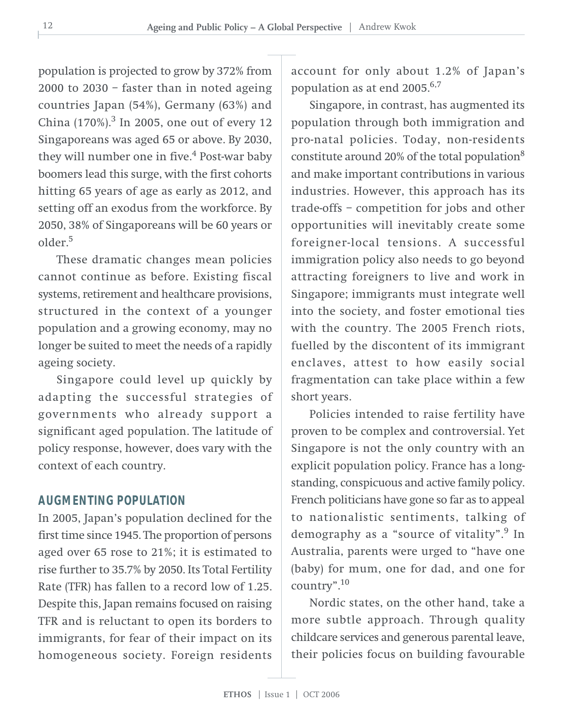population is projected to grow by 372% from 2000 to 2030 – faster than in noted ageing countries Japan (54%), Germany (63%) and China  $(170\%)$ .<sup>3</sup> In 2005, one out of every 12 Singaporeans was aged 65 or above. By 2030, they will number one in five.<sup>4</sup> Post-war baby boomers lead this surge, with the first cohorts hitting 65 years of age as early as 2012, and setting off an exodus from the workforce. By 2050, 38% of Singaporeans will be 60 years or older.<sup>5</sup>

These dramatic changes mean policies cannot continue as before. Existing fiscal systems, retirement and healthcare provisions, structured in the context of a younger population and a growing economy, may no longer be suited to meet the needs of a rapidly ageing society.

Singapore could level up quickly by adapting the successful strategies of governments who already support a significant aged population. The latitude of policy response, however, does vary with the context of each country.

#### **AUGMENTING POPULATION**

In 2005, Japan's population declined for the first time since 1945. The proportion of persons aged over 65 rose to 21%; it is estimated to rise further to 35.7% by 2050. Its Total Fertility Rate (TFR) has fallen to a record low of 1.25. Despite this, Japan remains focused on raising TFR and is reluctant to open its borders to immigrants, for fear of their impact on its homogeneous society. Foreign residents account for only about 1.2% of Japan's population as at end  $2005$ .<sup>6,7</sup>

Singapore, in contrast, has augmented its population through both immigration and pro-natal policies. Today, non-residents constitute around 20% of the total population8 and make important contributions in various industries. However, this approach has its trade-offs – competition for jobs and other opportunities will inevitably create some foreigner-local tensions. A successful immigration policy also needs to go beyond attracting foreigners to live and work in Singapore; immigrants must integrate well into the society, and foster emotional ties with the country. The 2005 French riots, fuelled by the discontent of its immigrant enclaves, attest to how easily social fragmentation can take place within a few short years.

Policies intended to raise fertility have proven to be complex and controversial. Yet Singapore is not the only country with an explicit population policy. France has a longstanding, conspicuous and active family policy. French politicians have gone so far as to appeal to nationalistic sentiments, talking of demography as a "source of vitality".<sup>9</sup> In Australia, parents were urged to "have one (baby) for mum, one for dad, and one for country".10

Nordic states, on the other hand, take a more subtle approach. Through quality childcare services and generous parental leave, their policies focus on building favourable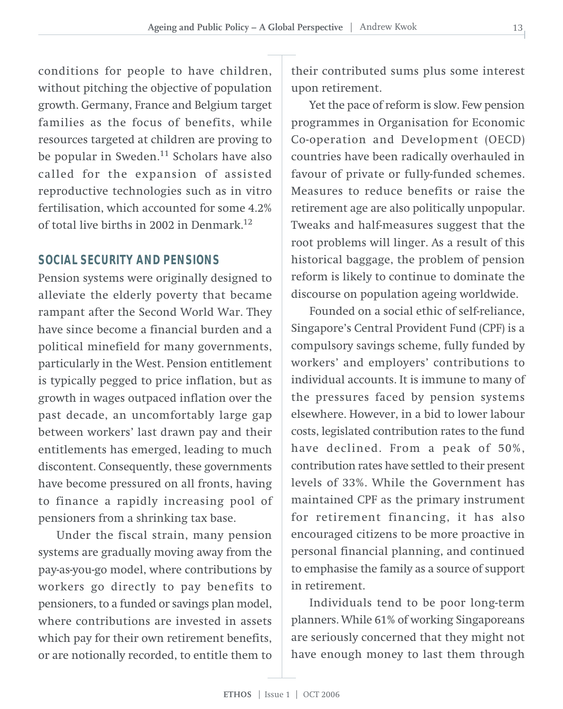conditions for people to have children, without pitching the objective of population growth. Germany, France and Belgium target families as the focus of benefits, while resources targeted at children are proving to be popular in Sweden. $11$  Scholars have also called for the expansion of assisted reproductive technologies such as in vitro fertilisation, which accounted for some 4.2% of total live births in 2002 in Denmark.<sup>12</sup>

#### **SOCIAL SECURITY AND PENSIONS**

Pension systems were originally designed to alleviate the elderly poverty that became rampant after the Second World War. They have since become a financial burden and a political minefield for many governments, particularly in the West. Pension entitlement is typically pegged to price inflation, but as growth in wages outpaced inflation over the past decade, an uncomfortably large gap between workers' last drawn pay and their entitlements has emerged, leading to much discontent. Consequently, these governments have become pressured on all fronts, having to finance a rapidly increasing pool of pensioners from a shrinking tax base.

Under the fiscal strain, many pension systems are gradually moving away from the pay-as-you-go model, where contributions by workers go directly to pay benefits to pensioners, to a funded or savings plan model, where contributions are invested in assets which pay for their own retirement benefits, or are notionally recorded, to entitle them to their contributed sums plus some interest upon retirement.

Yet the pace of reform is slow. Few pension programmes in Organisation for Economic Co-operation and Development (OECD) countries have been radically overhauled in favour of private or fully-funded schemes. Measures to reduce benefits or raise the retirement age are also politically unpopular. Tweaks and half-measures suggest that the root problems will linger. As a result of this historical baggage, the problem of pension reform is likely to continue to dominate the discourse on population ageing worldwide.

Founded on a social ethic of self-reliance, Singapore's Central Provident Fund (CPF) is a compulsory savings scheme, fully funded by workers' and employers' contributions to individual accounts. It is immune to many of the pressures faced by pension systems elsewhere. However, in a bid to lower labour costs, legislated contribution rates to the fund have declined. From a peak of 50%, contribution rates have settled to their present levels of 33%. While the Government has maintained CPF as the primary instrument for retirement financing, it has also encouraged citizens to be more proactive in personal financial planning, and continued to emphasise the family as a source of support in retirement.

Individuals tend to be poor long-term planners. While 61% of working Singaporeans are seriously concerned that they might not have enough money to last them through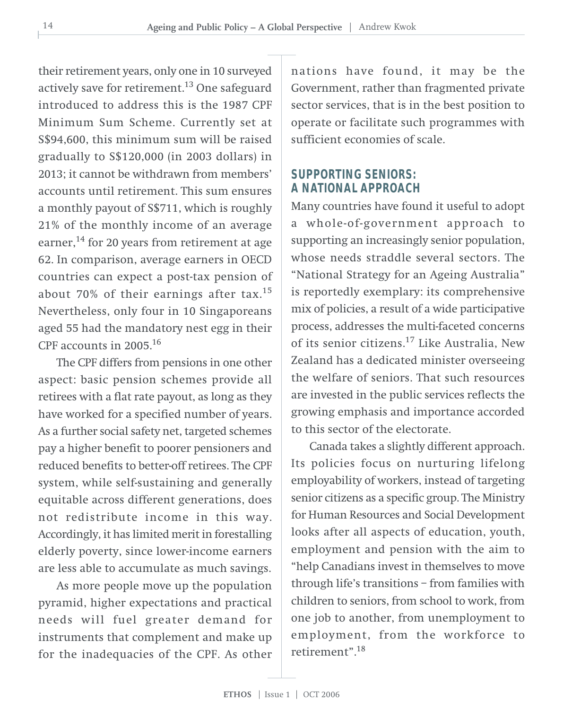their retirement years, only one in 10 surveyed actively save for retirement. $13$  One safeguard introduced to address this is the 1987 CPF Minimum Sum Scheme. Currently set at S\$94,600, this minimum sum will be raised gradually to S\$120,000 (in 2003 dollars) in 2013; it cannot be withdrawn from members' accounts until retirement. This sum ensures a monthly payout of S\$711, which is roughly 21% of the monthly income of an average earner,<sup>14</sup> for 20 years from retirement at age 62. In comparison, average earners in OECD countries can expect a post-tax pension of about 70% of their earnings after tax.<sup>15</sup> Nevertheless, only four in 10 Singaporeans aged 55 had the mandatory nest egg in their CPF accounts in 2005.16

The CPF differs from pensions in one other aspect: basic pension schemes provide all retirees with a flat rate payout, as long as they have worked for a specified number of years. As a further social safety net, targeted schemes pay a higher benefit to poorer pensioners and reduced benefits to better-off retirees. The CPF system, while self-sustaining and generally equitable across different generations, does not redistribute income in this way. Accordingly, it has limited merit in forestalling elderly poverty, since lower-income earners are less able to accumulate as much savings.

As more people move up the population pyramid, higher expectations and practical needs will fuel greater demand for instruments that complement and make up for the inadequacies of the CPF. As other nations have found, it may be the Government, rather than fragmented private sector services, that is in the best position to operate or facilitate such programmes with sufficient economies of scale.

#### **SUPPORTING SENIORS: A NATIONAL APPROACH**

Many countries have found it useful to adopt a whole-of-government approach to supporting an increasingly senior population, whose needs straddle several sectors. The "National Strategy for an Ageing Australia" is reportedly exemplary: its comprehensive mix of policies, a result of a wide participative process, addresses the multi-faceted concerns of its senior citizens.17 Like Australia, New Zealand has a dedicated minister overseeing the welfare of seniors. That such resources are invested in the public services reflects the growing emphasis and importance accorded to this sector of the electorate.

Canada takes a slightly different approach. Its policies focus on nurturing lifelong employability of workers, instead of targeting senior citizens as a specific group. The Ministry for Human Resources and Social Development looks after all aspects of education, youth, employment and pension with the aim to "help Canadians invest in themselves to move through life's transitions – from families with children to seniors, from school to work, from one job to another, from unemployment to employment, from the workforce to retirement".<sup>18</sup>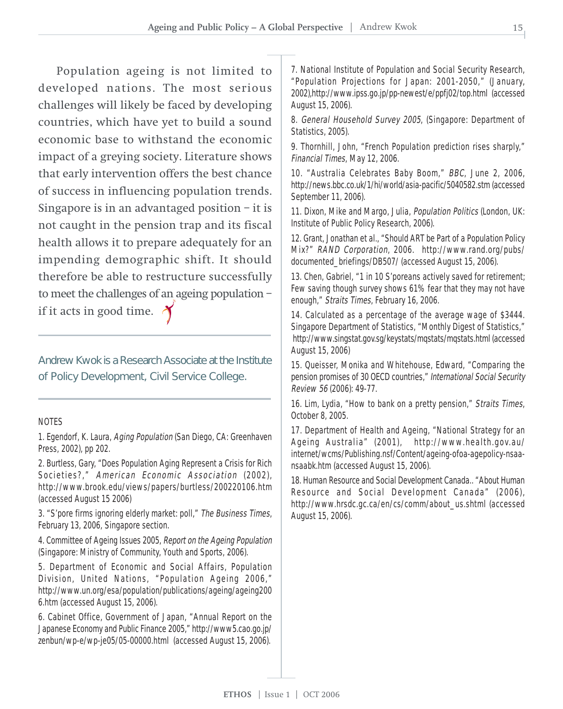Population ageing is not limited to developed nations. The most serious challenges will likely be faced by developing countries, which have yet to build a sound economic base to withstand the economic impact of a greying society. Literature shows that early intervention offers the best chance of success in influencing population trends. Singapore is in an advantaged position  $-$  it is not caught in the pension trap and its fiscal health allows it to prepare adequately for an impending demographic shift. It should therefore be able to restructure successfully to meet the challenges of an ageing population – if it acts in good time.  $\triangle$ 

Andrew Kwok is a Research Associate at the Institute of Policy Development, Civil Service College.

#### NOTES

1. Egendorf, K. Laura, Aging Population (San Diego, CA: Greenhaven Press, 2002), pp 202.

2. Burtless, Gary, "Does Population Aging Represent a Crisis for Rich Societies?," American Economic Association (2002), http://www.brook.edu/views/papers/burtless/200220106.htm (accessed August 15 2006)

3. "S'pore firms ignoring elderly market: poll," The Business Times, February 13, 2006, Singapore section.

4. Committee of Ageing Issues 2005, Report on the Ageing Population (Singapore: Ministry of Community, Youth and Sports, 2006).

5. Department of Economic and Social Affairs, Population Division, United Nations, "Population Ageing 2006," http://www.un.org/esa/population/publications/ageing/ageing200 6.htm (accessed August 15, 2006).

6. Cabinet Office, Government of Japan, "Annual Report on the Japanese Economy and Public Finance 2005," http://www5.cao.go.jp/ zenbun/wp-e/wp-je05/05-00000.html (accessed August 15, 2006).

7. National Institute of Population and Social Security Research, "Population Projections for Japan: 2001-2050," (January, 2002),http://www.ipss.go.jp/pp-newest/e/ppfj02/top.html (accessed August 15, 2006).

8. General Household Survey 2005, (Singapore: Department of Statistics, 2005).

9. Thornhill, John, "French Population prediction rises sharply," Financial Times, May 12, 2006.

10. "Australia Celebrates Baby Boom," BBC, June 2, 2006, http://news.bbc.co.uk/1/hi/world/asia-pacific/5040582.stm (accessed September 11, 2006).

11. Dixon, Mike and Margo, Julia, Population Politics (London, UK: Institute of Public Policy Research, 2006).

12. Grant, Jonathan et al., "Should ART be Part of a Population Policy Mix?" RAND Corporation, 2006. http://www.rand.org/pubs/ documented\_briefings/DB507/ (accessed August 15, 2006).

13. Chen, Gabriel, "1 in 10 S'poreans actively saved for retirement; Few saving though survey shows 61% fear that they may not have enough," Straits Times, February 16, 2006.

14. Calculated as a percentage of the average wage of \$3444. Singapore Department of Statistics, "Monthly Digest of Statistics," http://www.singstat.gov.sg/keystats/mqstats/mqstats.html (accessed August 15, 2006)

15. Queisser, Monika and Whitehouse, Edward, "Comparing the pension promises of 30 OECD countries," International Social Security Review 56 (2006): 49-77.

16. Lim, Lydia, "How to bank on a pretty pension," Straits Times, October 8, 2005.

17. Department of Health and Ageing, "National Strategy for an Ageing Australia" (2001), http://www.health.gov.au/ internet/wcms/Publishing.nsf/Content/ageing-ofoa-agepolicy-nsaansaabk.htm (accessed August 15, 2006).

18. Human Resource and Social Development Canada.. "About Human Resource and Social Development Canada" (2006), http://www.hrsdc.gc.ca/en/cs/comm/about\_us.shtml (accessed August 15, 2006).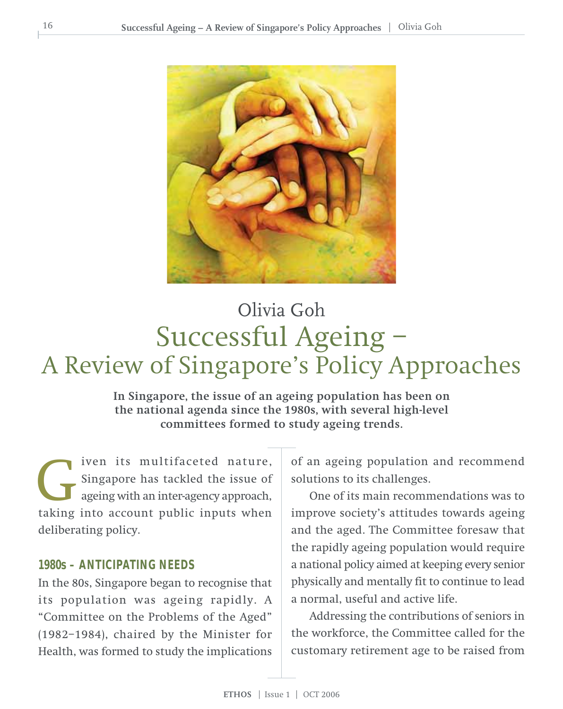

## Successful Ageing – A Review of Singapore's Policy Approaches Olivia Goh

**In Singapore, the issue of an ageing population has been on the national agenda since the 1980s, with several high-level committees formed to study ageing trends.**

iven its multifaceted nature, Singapore has tackled the issue of ageing with an inter-agency approach, The site of the issue of ageing with an inter-agency approach, taking into account public inputs when deliberating policy.

#### **1980s – ANTICIPATING NEEDS**

In the 80s, Singapore began to recognise that its population was ageing rapidly. A "Committee on the Problems of the Aged" (1982–1984), chaired by the Minister for Health, was formed to study the implications

of an ageing population and recommend solutions to its challenges.

One of its main recommendations was to improve society's attitudes towards ageing and the aged. The Committee foresaw that the rapidly ageing population would require a national policy aimed at keeping every senior physically and mentally fit to continue to lead a normal, useful and active life.

Addressing the contributions of seniors in the workforce, the Committee called for the customary retirement age to be raised from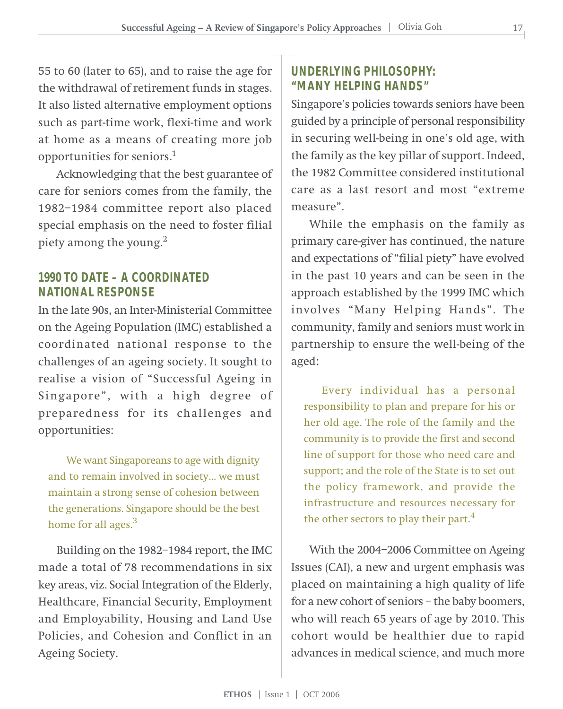55 to 60 (later to 65), and to raise the age for the withdrawal of retirement funds in stages. It also listed alternative employment options such as part-time work, flexi-time and work at home as a means of creating more job opportunities for seniors.1

Acknowledging that the best guarantee of care for seniors comes from the family, the 1982–1984 committee report also placed special emphasis on the need to foster filial piety among the young. $2$ 

#### **1990 TO DATE – A COORDINATED NATIONAL RESPONSE**

In the late 90s, an Inter-Ministerial Committee on the Ageing Population (IMC) established a coordinated national response to the challenges of an ageing society. It sought to realise a vision of "Successful Ageing in Singapore", with a high degree of preparedness for its challenges and opportunities:

We want Singaporeans to age with dignity and to remain involved in society… we must maintain a strong sense of cohesion between the generations. Singapore should be the best home for all ages.<sup>3</sup>

Building on the 1982–1984 report, the IMC made a total of 78 recommendations in six key areas, viz. Social Integration of the Elderly, Healthcare, Financial Security, Employment and Employability, Housing and Land Use Policies, and Cohesion and Conflict in an Ageing Society.

#### **UNDERLYING PHILOSOPHY: "MANY HELPING HANDS"**

Singapore's policies towards seniors have been guided by a principle of personal responsibility in securing well-being in one's old age, with the family as the key pillar of support. Indeed, the 1982 Committee considered institutional care as a last resort and most "extreme measure".

While the emphasis on the family as primary care-giver has continued, the nature and expectations of "filial piety" have evolved in the past 10 years and can be seen in the approach established by the 1999 IMC which involves "Many Helping Hands". The community, family and seniors must work in partnership to ensure the well-being of the aged:

Every individual has a personal responsibility to plan and prepare for his or her old age. The role of the family and the community is to provide the first and second line of support for those who need care and support; and the role of the State is to set out the policy framework, and provide the infrastructure and resources necessary for the other sectors to play their part.<sup>4</sup>

With the 2004–2006 Committee on Ageing Issues (CAI), a new and urgent emphasis was placed on maintaining a high quality of life for a new cohort of seniors – the baby boomers, who will reach 65 years of age by 2010. This cohort would be healthier due to rapid advances in medical science, and much more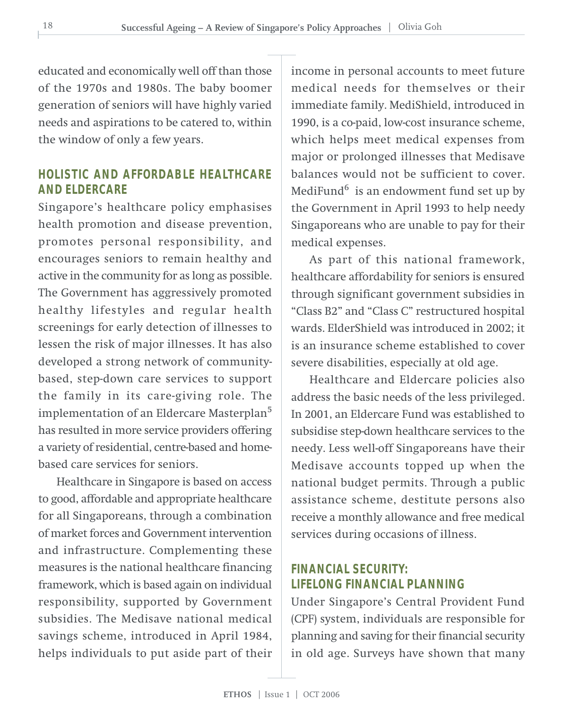educated and economically well off than those of the 1970s and 1980s. The baby boomer generation of seniors will have highly varied needs and aspirations to be catered to, within the window of only a few years.

#### **HOLISTIC AND AFFORDABLE HEALTHCARE AND ELDERCARE**

Singapore's healthcare policy emphasises health promotion and disease prevention, promotes personal responsibility, and encourages seniors to remain healthy and active in the community for as long as possible. The Government has aggressively promoted healthy lifestyles and regular health screenings for early detection of illnesses to lessen the risk of major illnesses. It has also developed a strong network of communitybased, step-down care services to support the family in its care-giving role. The implementation of an Eldercare Masterplan5 has resulted in more service providers offering a variety of residential, centre-based and homebased care services for seniors.

Healthcare in Singapore is based on access to good, affordable and appropriate healthcare for all Singaporeans, through a combination of market forces and Government intervention and infrastructure. Complementing these measures is the national healthcare financing framework, which is based again on individual responsibility, supported by Government subsidies. The Medisave national medical savings scheme, introduced in April 1984, helps individuals to put aside part of their

income in personal accounts to meet future medical needs for themselves or their immediate family. MediShield, introduced in 1990, is a co-paid, low-cost insurance scheme, which helps meet medical expenses from major or prolonged illnesses that Medisave balances would not be sufficient to cover. MediFund $^6$  is an endowment fund set up by the Government in April 1993 to help needy Singaporeans who are unable to pay for their medical expenses.

As part of this national framework, healthcare affordability for seniors is ensured through significant government subsidies in "Class B2" and "Class C" restructured hospital wards. ElderShield was introduced in 2002; it is an insurance scheme established to cover severe disabilities, especially at old age.

Healthcare and Eldercare policies also address the basic needs of the less privileged. In 2001, an Eldercare Fund was established to subsidise step-down healthcare services to the needy. Less well-off Singaporeans have their Medisave accounts topped up when the national budget permits. Through a public assistance scheme, destitute persons also receive a monthly allowance and free medical services during occasions of illness.

#### **FINANCIAL SECURITY: LIFELONG FINANCIAL PLANNING**

Under Singapore's Central Provident Fund (CPF) system, individuals are responsible for planning and saving for their financial security in old age. Surveys have shown that many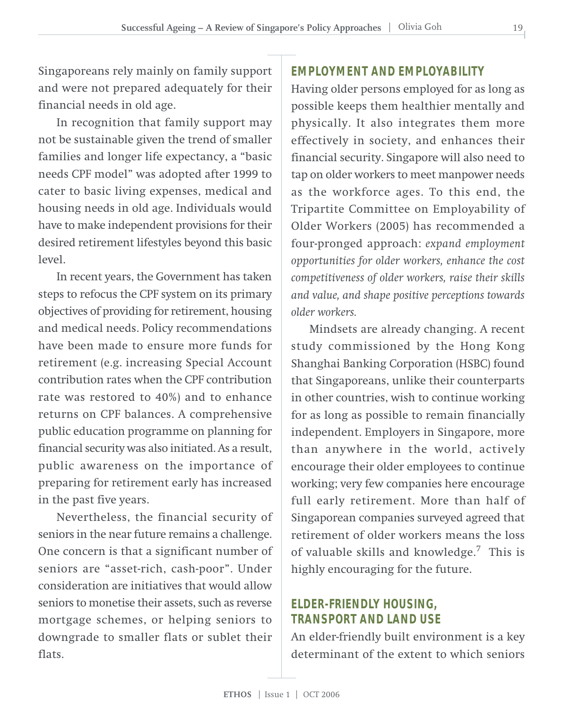Singaporeans rely mainly on family support and were not prepared adequately for their financial needs in old age.

In recognition that family support may not be sustainable given the trend of smaller families and longer life expectancy, a "basic needs CPF model" was adopted after 1999 to cater to basic living expenses, medical and housing needs in old age. Individuals would have to make independent provisions for their desired retirement lifestyles beyond this basic level.

In recent years, the Government has taken steps to refocus the CPF system on its primary objectives of providing for retirement, housing and medical needs. Policy recommendations have been made to ensure more funds for retirement (e.g. increasing Special Account contribution rates when the CPF contribution rate was restored to 40%) and to enhance returns on CPF balances. A comprehensive public education programme on planning for financial security was also initiated. As a result, public awareness on the importance of preparing for retirement early has increased in the past five years.

Nevertheless, the financial security of seniors in the near future remains a challenge. One concern is that a significant number of seniors are "asset-rich, cash-poor". Under consideration are initiatives that would allow seniors to monetise their assets, such as reverse mortgage schemes, or helping seniors to downgrade to smaller flats or sublet their flats.

#### **EMPLOYMENT AND EMPLOYABILITY**

Having older persons employed for as long as possible keeps them healthier mentally and physically. It also integrates them more effectively in society, and enhances their financial security. Singapore will also need to tap on older workers to meet manpower needs as the workforce ages. To this end, the Tripartite Committee on Employability of Older Workers (2005) has recommended a four-pronged approach: *expand employment opportunities for older workers, enhance the cost competitiveness of older workers, raise their skills and value, and shape positive perceptions towards older workers.*

Mindsets are already changing. A recent study commissioned by the Hong Kong Shanghai Banking Corporation (HSBC) found that Singaporeans, unlike their counterparts in other countries, wish to continue working for as long as possible to remain financially independent. Employers in Singapore, more than anywhere in the world, actively encourage their older employees to continue working; very few companies here encourage full early retirement. More than half of Singaporean companies surveyed agreed that retirement of older workers means the loss of valuable skills and knowledge.7 This is highly encouraging for the future.

#### **ELDER-FRIENDLY HOUSING, TRANSPORT AND LAND USE**

An elder-friendly built environment is a key determinant of the extent to which seniors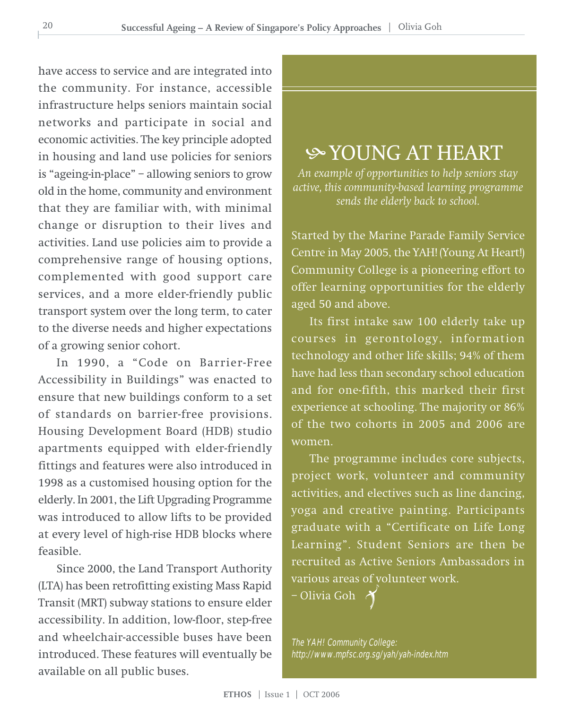have access to service and are integrated into the community. For instance, accessible infrastructure helps seniors maintain social networks and participate in social and economic activities. The key principle adopted in housing and land use policies for seniors is "ageing-in-place" – allowing seniors to grow old in the home, community and environment that they are familiar with, with minimal change or disruption to their lives and activities. Land use policies aim to provide a comprehensive range of housing options, complemented with good support care services, and a more elder-friendly public transport system over the long term, to cater to the diverse needs and higher expectations of a growing senior cohort.

In 1990, a "Code on Barrier-Free Accessibility in Buildings" was enacted to ensure that new buildings conform to a set of standards on barrier-free provisions. Housing Development Board (HDB) studio apartments equipped with elder-friendly fittings and features were also introduced in 1998 as a customised housing option for the elderly. In 2001, the Lift Upgrading Programme was introduced to allow lifts to be provided at every level of high-rise HDB blocks where feasible.

Since 2000, the Land Transport Authority (LTA) has been retrofitting existing Mass Rapid Transit (MRT) subway stations to ensure elder accessibility. In addition, low-floor, step-free and wheelchair-accessible buses have been introduced. These features will eventually be available on all public buses.

### YOUNG AT HEART

*An example of opportunities to help seniors stay active, this community-based learning programme sends the elderly back to school.*

Started by the Marine Parade Family Service Centre in May 2005, the YAH! (Young At Heart!) Community College is a pioneering effort to offer learning opportunities for the elderly aged 50 and above.

Its first intake saw 100 elderly take up courses in gerontology, information technology and other life skills; 94% of them have had less than secondary school education and for one-fifth, this marked their first experience at schooling. The majority or 86% of the two cohorts in 2005 and 2006 are women.

The programme includes core subjects, project work, volunteer and community activities, and electives such as line dancing, yoga and creative painting. Participants graduate with a "Certificate on Life Long Learning". Student Seniors are then be recruited as Active Seniors Ambassadors in various areas of volunteer work.

– Olivia Goh

The YAH! Community College: http://www.mpfsc.org.sg/yah/yah-index.htm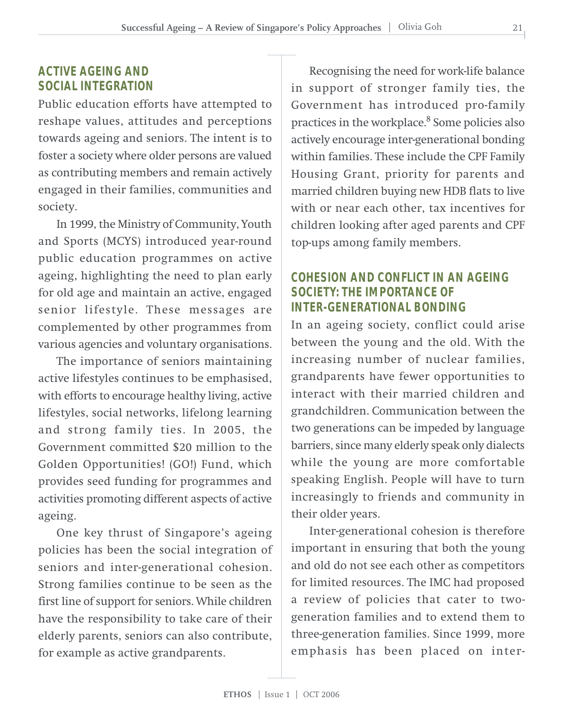#### **ACTIVE AGEING AND SOCIAL INTEGRATION**

Public education efforts have attempted to reshape values, attitudes and perceptions towards ageing and seniors. The intent is to foster a society where older persons are valued as contributing members and remain actively engaged in their families, communities and society.

In 1999, the Ministry of Community, Youth and Sports (MCYS) introduced year-round public education programmes on active ageing, highlighting the need to plan early for old age and maintain an active, engaged senior lifestyle. These messages are complemented by other programmes from various agencies and voluntary organisations.

The importance of seniors maintaining active lifestyles continues to be emphasised, with efforts to encourage healthy living, active lifestyles, social networks, lifelong learning and strong family ties. In 2005, the Government committed \$20 million to the Golden Opportunities! (GO!) Fund, which provides seed funding for programmes and activities promoting different aspects of active ageing.

One key thrust of Singapore's ageing policies has been the social integration of seniors and inter-generational cohesion. Strong families continue to be seen as the first line of support for seniors. While children have the responsibility to take care of their elderly parents, seniors can also contribute, for example as active grandparents.

Recognising the need for work-life balance in support of stronger family ties, the Government has introduced pro-family practices in the workplace.<sup>8</sup> Some policies also actively encourage inter-generational bonding within families. These include the CPF Family Housing Grant, priority for parents and married children buying new HDB flats to live with or near each other, tax incentives for children looking after aged parents and CPF top-ups among family members.

#### **COHESION AND CONFLICT IN AN AGEING SOCIETY: THE IMPORTANCE OF INTER-GENERATIONAL BONDING**

In an ageing society, conflict could arise between the young and the old. With the increasing number of nuclear families, grandparents have fewer opportunities to interact with their married children and grandchildren. Communication between the two generations can be impeded by language barriers, since many elderly speak only dialects while the young are more comfortable speaking English. People will have to turn increasingly to friends and community in their older years.

Inter-generational cohesion is therefore important in ensuring that both the young and old do not see each other as competitors for limited resources. The IMC had proposed a review of policies that cater to twogeneration families and to extend them to three-generation families. Since 1999, more emphasis has been placed on inter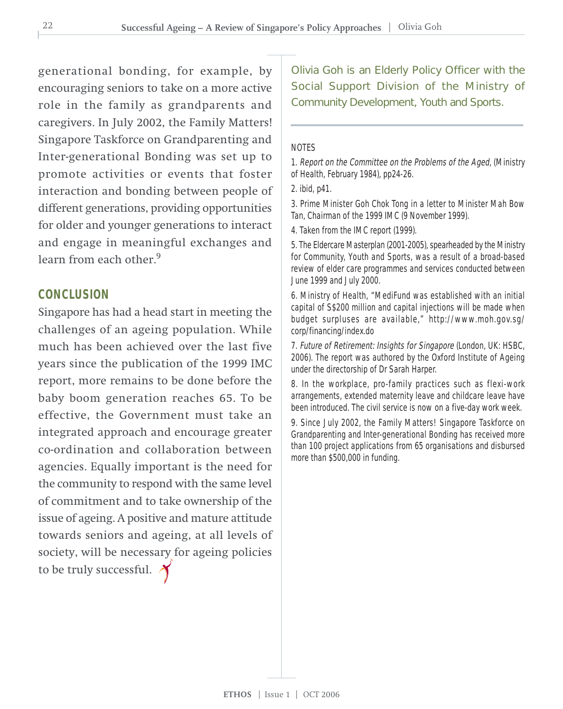generational bonding, for example, by encouraging seniors to take on a more active role in the family as grandparents and caregivers. In July 2002, the Family Matters! Singapore Taskforce on Grandparenting and Inter-generational Bonding was set up to promote activities or events that foster interaction and bonding between people of different generations, providing opportunities for older and younger generations to interact and engage in meaningful exchanges and learn from each other.<sup>9</sup>

#### **CONCLUSION**

Singapore has had a head start in meeting the challenges of an ageing population. While much has been achieved over the last five years since the publication of the 1999 IMC report, more remains to be done before the baby boom generation reaches 65. To be effective, the Government must take an integrated approach and encourage greater co-ordination and collaboration between agencies. Equally important is the need for the community to respond with the same level of commitment and to take ownership of the issue of ageing. A positive and mature attitude towards seniors and ageing, at all levels of society, will be necessary for ageing policies to be truly successful.

Olivia Goh is an Elderly Policy Officer with the Social Support Division of the Ministry of Community Development, Youth and Sports.

#### **NOTES**

1. Report on the Committee on the Problems of the Aged, (Ministry of Health, February 1984), pp24-26.

3. Prime Minister Goh Chok Tong in a letter to Minister Mah Bow Tan, Chairman of the 1999 IMC (9 November 1999).

4. Taken from the IMC report (1999).

5. The Eldercare Masterplan (2001-2005), spearheaded by the Ministry for Community, Youth and Sports, was a result of a broad-based review of elder care programmes and services conducted between June 1999 and July 2000.

6. Ministry of Health, "MediFund was established with an initial capital of S\$200 million and capital injections will be made when budget surpluses are available," http://www.moh.gov.sg/ corp/financing/index.do

7. Future of Retirement: Insights for Singapore (London, UK: HSBC, 2006). The report was authored by the Oxford Institute of Ageing under the directorship of Dr Sarah Harper.

8. In the workplace, pro-family practices such as flexi-work arrangements, extended maternity leave and childcare leave have been introduced. The civil service is now on a five-day work week.

9. Since July 2002, the Family Matters! Singapore Taskforce on Grandparenting and Inter-generational Bonding has received more than 100 project applications from 65 organisations and disbursed more than \$500,000 in funding.

<sup>2.</sup> ibid, p41.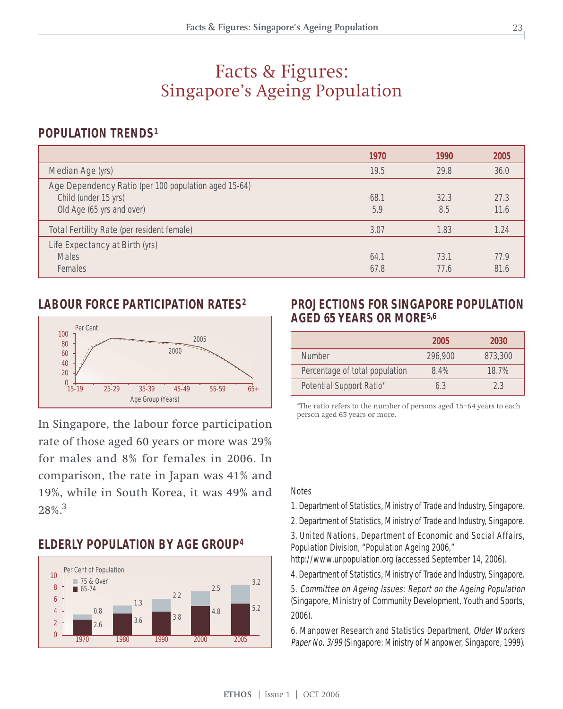#### Facts & Figures: Singapore's Ageing Population

#### **POPULATION TRENDS1**

|                                                                                                           | 1970         | 1990         | 2005         |
|-----------------------------------------------------------------------------------------------------------|--------------|--------------|--------------|
| Median Age (yrs)                                                                                          | 19.5         | 29.8         | 36.0         |
| Age Dependency Ratio (per 100 population aged 15-64)<br>Child (under 15 yrs)<br>Old Age (65 yrs and over) | 68.1<br>5.9  | 32.3<br>8.5  | 27.3<br>11.6 |
| Total Fertility Rate (per resident female)                                                                | 3.07         | 1.83         | 1.24         |
| Life Expectancy at Birth (yrs)<br><b>Males</b><br>Females                                                 | 64.1<br>67.8 | 73.1<br>77.6 | 77.9<br>81.6 |

#### **LABOUR FORCE PARTICIPATION RATES2**



In Singapore, the labour force participation rate of those aged 60 years or more was 29% for males and 8% for females in 2006. In comparison, the rate in Japan was 41% and 19%, while in South Korea, it was 49% and 28%.<sup>3</sup>

#### **ELDERLY POPULATION BY AGE GROUP4**



#### **PROJECTIONS FOR SINGAPORE POPULATION AGED 65 YEARS OR MORE5,6**

|                                | 2005    | 2030    |
|--------------------------------|---------|---------|
| <b>Number</b>                  | 296,900 | 873,300 |
| Percentage of total population | 8.4%    | 18.7%   |
| Potential Support Ratio*       | 63      | 2.3     |

\*The ratio refers to the number of persons aged 15–64 years to each person aged 65 years or more.

Notes

- 1. Department of Statistics, Ministry of Trade and Industry, Singapore.
- 2. Department of Statistics, Ministry of Trade and Industry, Singapore.

3. United Nations, Department of Economic and Social Affairs, Population Division, "Population Ageing 2006,"

http://www.unpopulation.org (accessed September 14, 2006).

4. Department of Statistics, Ministry of Trade and Industry, Singapore.

5. Committee on Ageing Issues: Report on the Ageing Population (Singapore, Ministry of Community Development, Youth and Sports, 2006).

6. Manpower Research and Statistics Department, Older Workers Paper No. 3/99 (Singapore: Ministry of Manpower, Singapore, 1999).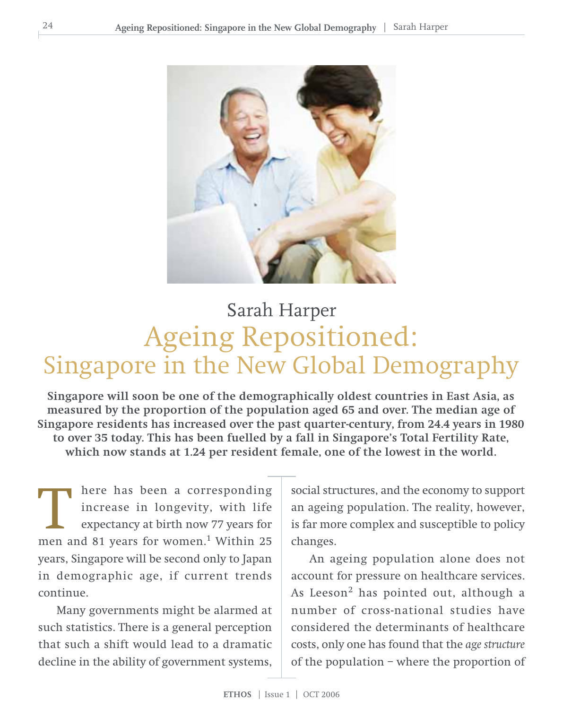

## Ageing Repositioned: Singapore in the New Global Demography Sarah Harper

**Singapore will soon be one of the demographically oldest countries in East Asia, as measured by the proportion of the population aged 65 and over. The median age of Singapore residents has increased over the past quarter-century, from 24.4 years in 1980 to over 35 today. This has been fuelled by a fall in Singapore's Total Fertility Rate, which now stands at 1.24 per resident female, one of the lowest in the world.**

here has been a corresponding increase in longevity, with life expectancy at birth now 77 years for There has been a corresponding<br>increase in longevity, with life<br>expectancy at birth now 77 years for<br>men and 81 years for women.<sup>1</sup> Within 25 years, Singapore will be second only to Japan in demographic age, if current trends continue.

Many governments might be alarmed at such statistics. There is a general perception that such a shift would lead to a dramatic decline in the ability of government systems, social structures, and the economy to support an ageing population. The reality, however, is far more complex and susceptible to policy changes.

An ageing population alone does not account for pressure on healthcare services. As Leeson<sup>2</sup> has pointed out, although a number of cross-national studies have considered the determinants of healthcare costs, only one has found that the *age structure* of the population – where the proportion of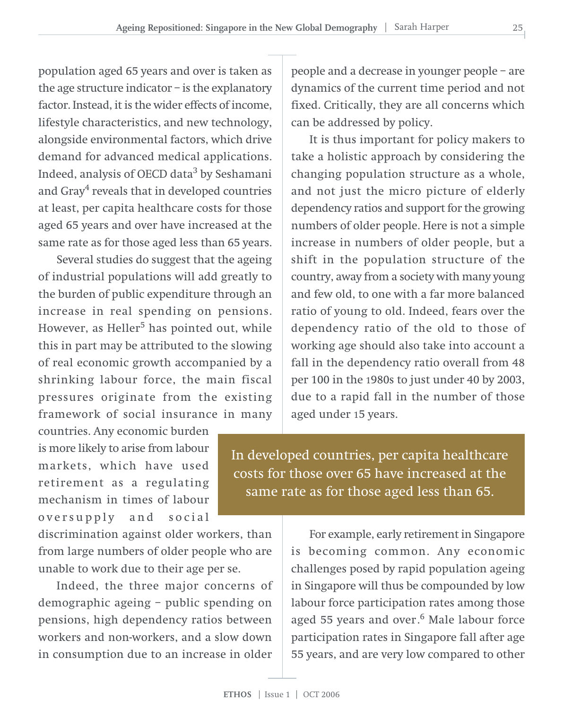population aged 65 years and over is taken as the age structure indicator – is the explanatory factor. Instead, it is the wider effects of income, lifestyle characteristics, and new technology, alongside environmental factors, which drive demand for advanced medical applications. Indeed, analysis of OECD data<sup>3</sup> by Seshamani and Gray $\rm ^4$  reveals that in developed countries at least, per capita healthcare costs for those aged 65 years and over have increased at the same rate as for those aged less than 65 years.

Several studies do suggest that the ageing of industrial populations will add greatly to the burden of public expenditure through an increase in real spending on pensions. However, as Heller<sup>5</sup> has pointed out, while this in part may be attributed to the slowing of real economic growth accompanied by a shrinking labour force, the main fiscal pressures originate from the existing framework of social insurance in many

countries. Any economic burden is more likely to arise from labour markets, which have used retirement as a regulating mechanism in times of labour oversupply and social

discrimination against older workers, than from large numbers of older people who are unable to work due to their age per se.

Indeed, the three major concerns of demographic ageing – public spending on pensions, high dependency ratios between workers and non-workers, and a slow down in consumption due to an increase in older

people and a decrease in younger people – are dynamics of the current time period and not fixed. Critically, they are all concerns which can be addressed by policy.

It is thus important for policy makers to take a holistic approach by considering the changing population structure as a whole, and not just the micro picture of elderly dependency ratios and support for the growing numbers of older people. Here is not a simple increase in numbers of older people, but a shift in the population structure of the country, away from a society with many young and few old, to one with a far more balanced ratio of young to old. Indeed, fears over the dependency ratio of the old to those of working age should also take into account a fall in the dependency ratio overall from 48 per 100 in the 1980s to just under 40 by 2003, due to a rapid fall in the number of those aged under 15 years.

In developed countries, per capita healthcare costs for those over 65 have increased at the same rate as for those aged less than 65.

> For example, early retirement in Singapore is becoming common. Any economic challenges posed by rapid population ageing in Singapore will thus be compounded by low labour force participation rates among those aged 55 years and over.<sup>6</sup> Male labour force participation rates in Singapore fall after age 55 years, and are very low compared to other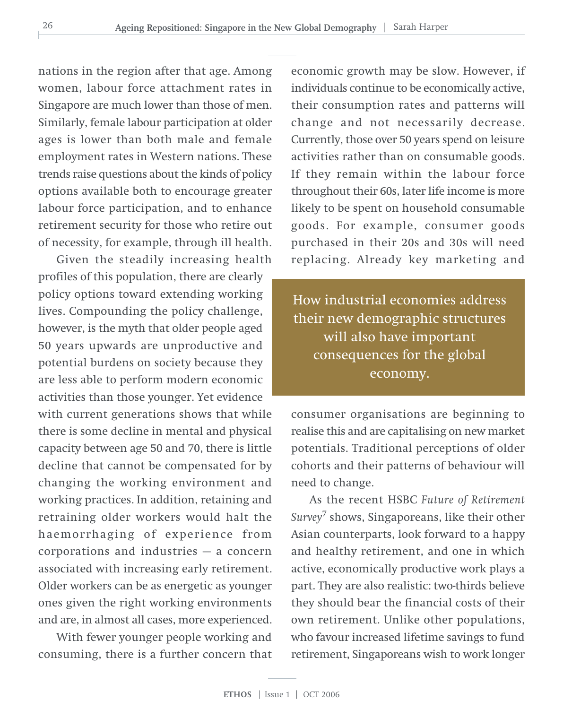nations in the region after that age. Among women, labour force attachment rates in Singapore are much lower than those of men. Similarly, female labour participation at older ages is lower than both male and female employment rates in Western nations. These trends raise questions about the kinds of policy options available both to encourage greater labour force participation, and to enhance retirement security for those who retire out of necessity, for example, through ill health.

Given the steadily increasing health profiles of this population, there are clearly policy options toward extending working lives. Compounding the policy challenge, however, is the myth that older people aged 50 years upwards are unproductive and potential burdens on society because they are less able to perform modern economic activities than those younger. Yet evidence with current generations shows that while there is some decline in mental and physical capacity between age 50 and 70, there is little decline that cannot be compensated for by changing the working environment and working practices. In addition, retaining and retraining older workers would halt the haemorrhaging of experience from corporations and industries — a concern associated with increasing early retirement. Older workers can be as energetic as younger ones given the right working environments and are, in almost all cases, more experienced.

With fewer younger people working and consuming, there is a further concern that

economic growth may be slow. However, if individuals continue to be economically active, their consumption rates and patterns will change and not necessarily decrease. Currently, those over 50 years spend on leisure activities rather than on consumable goods. If they remain within the labour force throughout their 60s, later life income is more likely to be spent on household consumable goods. For example, consumer goods purchased in their 20s and 30s will need replacing. Already key marketing and

How industrial economies address their new demographic structures will also have important consequences for the global economy.

consumer organisations are beginning to realise this and are capitalising on new market potentials. Traditional perceptions of older cohorts and their patterns of behaviour will need to change.

As the recent HSBC *Future of Retirement Survey*<sup>7</sup> shows, Singaporeans, like their other Asian counterparts, look forward to a happy and healthy retirement, and one in which active, economically productive work plays a part. They are also realistic: two-thirds believe they should bear the financial costs of their own retirement. Unlike other populations, who favour increased lifetime savings to fund retirement, Singaporeans wish to work longer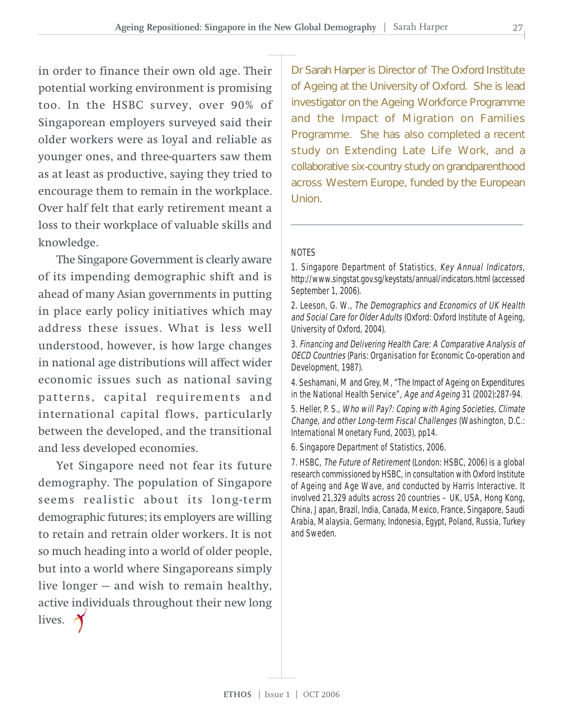in order to finance their own old age. Their potential working environment is promising too. In the HSBC survey, over 90% of Singaporean employers surveyed said their older workers were as loyal and reliable as younger ones, and three-quarters saw them as at least as productive, saying they tried to encourage them to remain in the workplace. Over half felt that early retirement meant a loss to their workplace of valuable skills and knowledge.

The Singapore Government is clearly aware of its impending demographic shift and is ahead of many Asian governments in putting in place early policy initiatives which may address these issues. What is less well understood, however, is how large changes in national age distributions will affect wider economic issues such as national saving patterns, capital requirements and international capital flows, particularly between the developed, and the transitional and less developed economies.

Yet Singapore need not fear its future demography. The population of Singapore seems realistic about its long-term demographic futures; its employers are willing to retain and retrain older workers. It is not so much heading into a world of older people, but into a world where Singaporeans simply live longer — and wish to remain healthy, active individuals throughout their new long lives.

Dr Sarah Harper is Director of The Oxford Institute of Ageing at the University of Oxford. She is lead investigator on the Ageing Workforce Programme and the Impact of Migration on Families Programme. She has also completed a recent study on Extending Late Life Work, and a collaborative six-country study on grandparenthood across Western Europe, funded by the European **Union** 

#### NOTES

1. Singapore Department of Statistics, Key Annual Indicators, http://www.singstat.gov.sg/keystats/annual/indicators.html (accessed September 1, 2006).

2. Leeson, G. W., The Demographics and Economics of UK Health and Social Care for Older Adults (Oxford: Oxford Institute of Ageing, University of Oxford, 2004).

3. Financing and Delivering Health Care: A Comparative Analysis of OECD Countries (Paris: Organisation for Economic Co-operation and Development, 1987).

4. Seshamani, M and Grey, M, "The Impact of Ageing on Expenditures in the National Health Service", Age and Ageing 31 (2002):287-94.

5. Heller, P. S., Who will Pay?: Coping with Aging Societies, Climate Change, and other Long-term Fiscal Challenges (Washington, D.C.: International Monetary Fund, 2003), pp14.

6. Singapore Department of Statistics, 2006.

7. HSBC, The Future of Retirement (London: HSBC, 2006) is a global research commissioned by HSBC, in consultation with Oxford Institute of Ageing and Age Wave, and conducted by Harris Interactive. It involved 21,329 adults across 20 countries – UK, USA, Hong Kong, China, Japan, Brazil, India, Canada, Mexico, France, Singapore, Saudi Arabia, Malaysia, Germany, Indonesia, Egypt, Poland, Russia, Turkey and Sweden.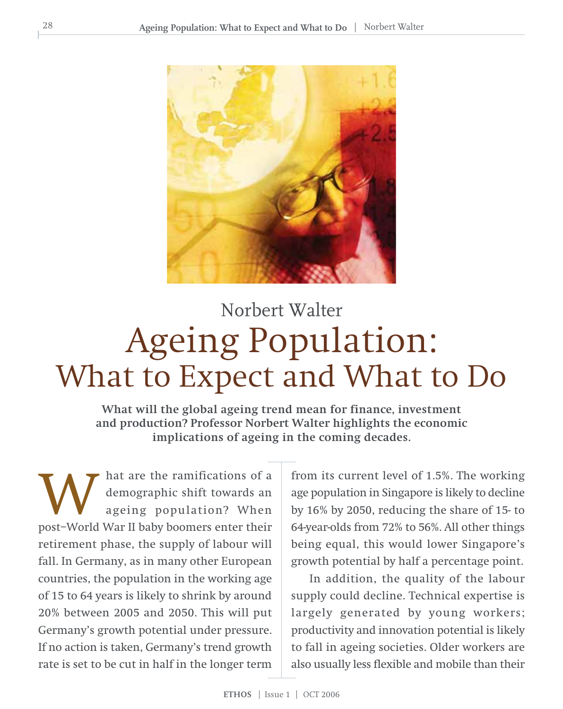

## Ageing Population: What to Expect and What to Do Norbert Walter

**What will the global ageing trend mean for finance, investment and production? Professor Norbert Walter highlights the economic implications of ageing in the coming decades.**

hat are the ramifications of a demographic shift towards an ageing population? When MUST A are the ramifications of a demographic shift towards an ageing population? When post-World War II baby boomers enter their retirement phase, the supply of labour will fall. In Germany, as in many other European countries, the population in the working age of 15 to 64 years is likely to shrink by around 20% between 2005 and 2050. This will put Germany's growth potential under pressure. If no action is taken, Germany's trend growth rate is set to be cut in half in the longer term

from its current level of 1.5%. The working age population in Singapore is likely to decline by 16% by 2050, reducing the share of 15- to 64-year-olds from 72% to 56%. All other things being equal, this would lower Singapore's growth potential by half a percentage point.

In addition, the quality of the labour supply could decline. Technical expertise is largely generated by young workers; productivity and innovation potential is likely to fall in ageing societies. Older workers are also usually less flexible and mobile than their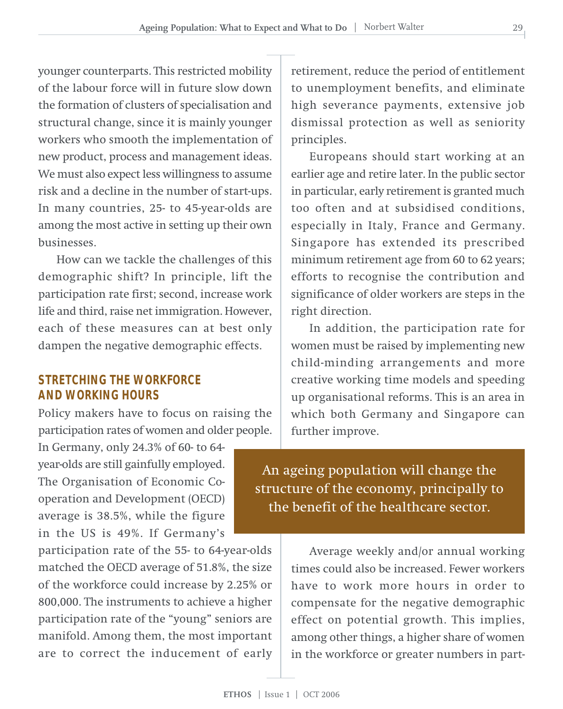younger counterparts. This restricted mobility of the labour force will in future slow down the formation of clusters of specialisation and structural change, since it is mainly younger workers who smooth the implementation of new product, process and management ideas. We must also expect less willingness to assume risk and a decline in the number of start-ups. In many countries, 25- to 45-year-olds are among the most active in setting up their own businesses.

How can we tackle the challenges of this demographic shift? In principle, lift the participation rate first; second, increase work life and third, raise net immigration. However, each of these measures can at best only dampen the negative demographic effects.

#### **STRETCHING THE WORKFORCE AND WORKING HOURS**

Policy makers have to focus on raising the participation rates of women and older people.

In Germany, only 24.3% of 60- to 64 year-olds are still gainfully employed. The Organisation of Economic Cooperation and Development (OECD) average is 38.5%, while the figure in the US is 49%. If Germany's

participation rate of the 55- to 64-year-olds matched the OECD average of 51.8%, the size of the workforce could increase by 2.25% or 800,000. The instruments to achieve a higher participation rate of the "young" seniors are manifold. Among them, the most important are to correct the inducement of early retirement, reduce the period of entitlement to unemployment benefits, and eliminate high severance payments, extensive job dismissal protection as well as seniority principles.

Europeans should start working at an earlier age and retire later. In the public sector in particular, early retirement is granted much too often and at subsidised conditions, especially in Italy, France and Germany. Singapore has extended its prescribed minimum retirement age from 60 to 62 years; efforts to recognise the contribution and significance of older workers are steps in the right direction.

In addition, the participation rate for women must be raised by implementing new child-minding arrangements and more creative working time models and speeding up organisational reforms. This is an area in which both Germany and Singapore can further improve.

An ageing population will change the structure of the economy, principally to the benefit of the healthcare sector.

> Average weekly and/or annual working times could also be increased. Fewer workers have to work more hours in order to compensate for the negative demographic effect on potential growth. This implies, among other things, a higher share of women in the workforce or greater numbers in part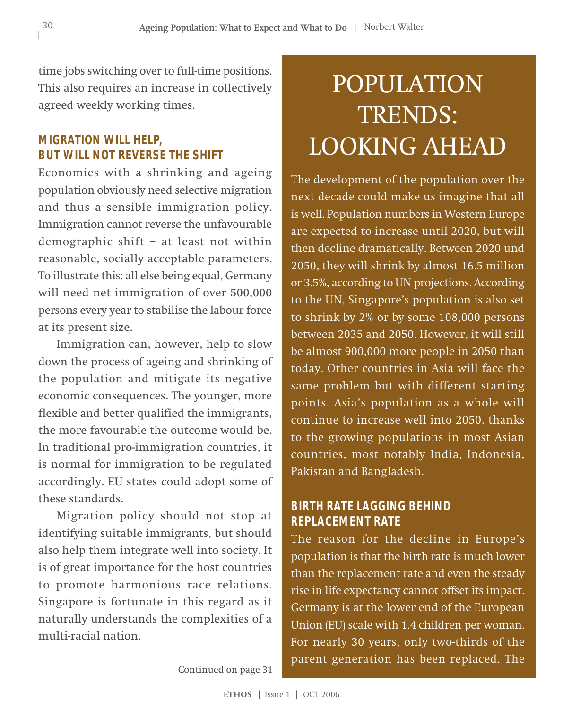time jobs switching over to full-time positions. This also requires an increase in collectively agreed weekly working times.

#### **MIGRATION WILL HELP, BUT WILL NOT REVERSE THE SHIFT**

Economies with a shrinking and ageing population obviously need selective migration and thus a sensible immigration policy. Immigration cannot reverse the unfavourable demographic shift – at least not within reasonable, socially acceptable parameters. To illustrate this: all else being equal, Germany will need net immigration of over 500,000 persons every year to stabilise the labour force at its present size.

Immigration can, however, help to slow down the process of ageing and shrinking of the population and mitigate its negative economic consequences. The younger, more flexible and better qualified the immigrants, the more favourable the outcome would be. In traditional pro-immigration countries, it is normal for immigration to be regulated accordingly. EU states could adopt some of these standards.

Migration policy should not stop at identifying suitable immigrants, but should also help them integrate well into society. It is of great importance for the host countries to promote harmonious race relations. Singapore is fortunate in this regard as it naturally understands the complexities of a multi-racial nation.

## POPULATION TRENDS: LOOKING AHEAD

The development of the population over the next decade could make us imagine that all is well. Population numbers in Western Europe are expected to increase until 2020, but will then decline dramatically. Between 2020 und 2050, they will shrink by almost 16.5 million or 3.5%, according to UN projections. According to the UN, Singapore's population is also set to shrink by 2% or by some 108,000 persons between 2035 and 2050. However, it will still be almost 900,000 more people in 2050 than today. Other countries in Asia will face the same problem but with different starting points. Asia's population as a whole will continue to increase well into 2050, thanks to the growing populations in most Asian countries, most notably India, Indonesia, Pakistan and Bangladesh.

#### **BIRTH RATE LAGGING BEHIND REPLACEMENT RATE**

The reason for the decline in Europe's population is that the birth rate is much lower than the replacement rate and even the steady rise in life expectancy cannot offset its impact. Germany is at the lower end of the European Union (EU) scale with 1.4 children per woman. For nearly 30 years, only two-thirds of the parent generation has been replaced. The

Continued on page 31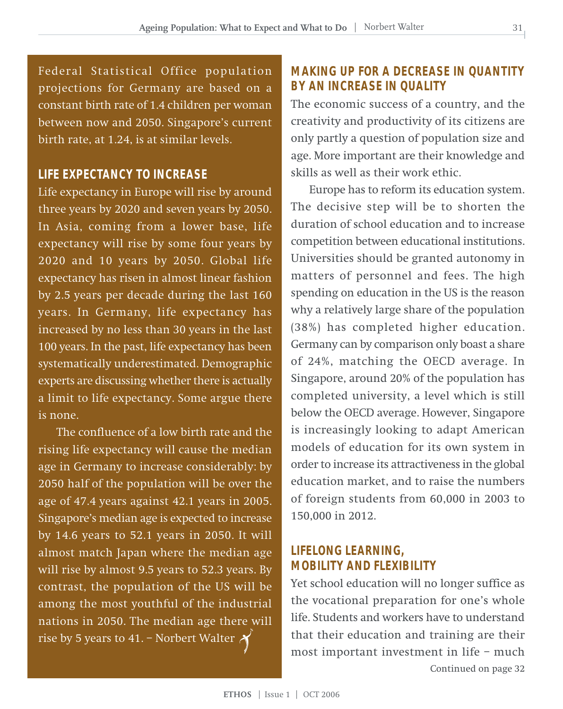Federal Statistical Office population projections for Germany are based on a constant birth rate of 1.4 children per woman between now and 2050. Singapore's current birth rate, at 1.24, is at similar levels.

#### **LIFE EXPECTANCY TO INCREASE**

Life expectancy in Europe will rise by around three years by 2020 and seven years by 2050. In Asia, coming from a lower base, life expectancy will rise by some four years by 2020 and 10 years by 2050. Global life expectancy has risen in almost linear fashion by 2.5 years per decade during the last 160 years. In Germany, life expectancy has increased by no less than 30 years in the last 100 years. In the past, life expectancy has been systematically underestimated. Demographic experts are discussing whether there is actually a limit to life expectancy. Some argue there is none.

The confluence of a low birth rate and the rising life expectancy will cause the median age in Germany to increase considerably: by 2050 half of the population will be over the age of 47.4 years against 42.1 years in 2005. Singapore's median age is expected to increase by 14.6 years to 52.1 years in 2050. It will almost match Japan where the median age will rise by almost 9.5 years to 52.3 years. By contrast, the population of the US will be among the most youthful of the industrial nations in 2050. The median age there will rise by 5 years to 41. – Norbert Walter  $\mathcal X$ 

#### **MAKING UP FOR A DECREASE IN QUANTITY BY AN INCREASE IN QUALITY**

The economic success of a country, and the creativity and productivity of its citizens are only partly a question of population size and age. More important are their knowledge and skills as well as their work ethic.

Europe has to reform its education system. The decisive step will be to shorten the duration of school education and to increase competition between educational institutions. Universities should be granted autonomy in matters of personnel and fees. The high spending on education in the US is the reason why a relatively large share of the population (38%) has completed higher education. Germany can by comparison only boast a share of 24%, matching the OECD average. In Singapore, around 20% of the population has completed university, a level which is still below the OECD average. However, Singapore is increasingly looking to adapt American models of education for its own system in order to increase its attractiveness in the global education market, and to raise the numbers of foreign students from 60,000 in 2003 to 150,000 in 2012.

#### **LIFELONG LEARNING, MOBILITY AND FLEXIBILITY**

Yet school education will no longer suffice as the vocational preparation for one's whole life. Students and workers have to understand that their education and training are their most important investment in life – much Continued on page 32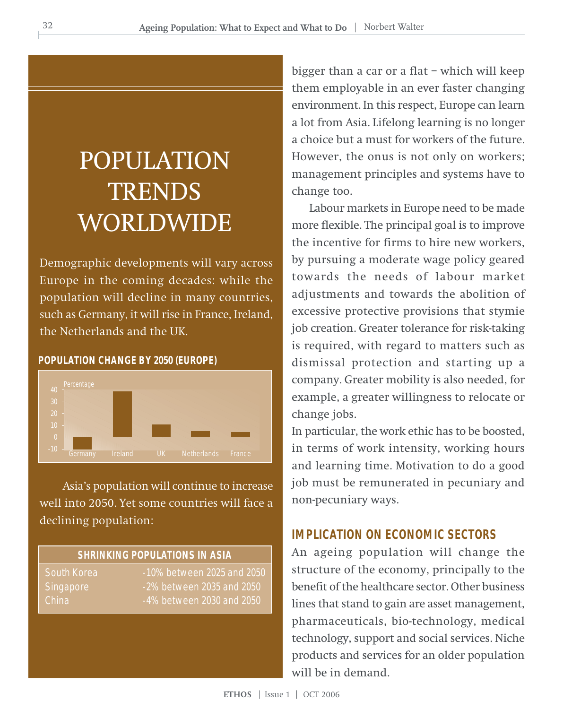## POPULATION **TRENDS** WORLDWIDE

Demographic developments will vary across Europe in the coming decades: while the population will decline in many countries, such as Germany, it will rise in France, Ireland, the Netherlands and the UK.

#### **POPULATION CHANGE BY 2050 (EUROPE)**



 Asia's population will continue to increase well into 2050. Yet some countries will face a declining population:

#### **SHRINKING POPULATIONS IN ASIA**

South Korea -10% between 2025 and 2050 Singapore -2% between 2035 and 2050 China  $-4\%$  between 2030 and 2050

bigger than a car or a flat – which will keep them employable in an ever faster changing environment. In this respect, Europe can learn a lot from Asia. Lifelong learning is no longer a choice but a must for workers of the future. However, the onus is not only on workers; management principles and systems have to change too.

Labour markets in Europe need to be made more flexible. The principal goal is to improve the incentive for firms to hire new workers, by pursuing a moderate wage policy geared towards the needs of labour market adjustments and towards the abolition of excessive protective provisions that stymie job creation. Greater tolerance for risk-taking is required, with regard to matters such as dismissal protection and starting up a company. Greater mobility is also needed, for example, a greater willingness to relocate or change jobs.

In particular, the work ethic has to be boosted, in terms of work intensity, working hours and learning time. Motivation to do a good job must be remunerated in pecuniary and non-pecuniary ways.

#### **IMPLICATION ON ECONOMIC SECTORS**

An ageing population will change the structure of the economy, principally to the benefit of the healthcare sector. Other business lines that stand to gain are asset management, pharmaceuticals, bio-technology, medical technology, support and social services. Niche products and services for an older population will be in demand.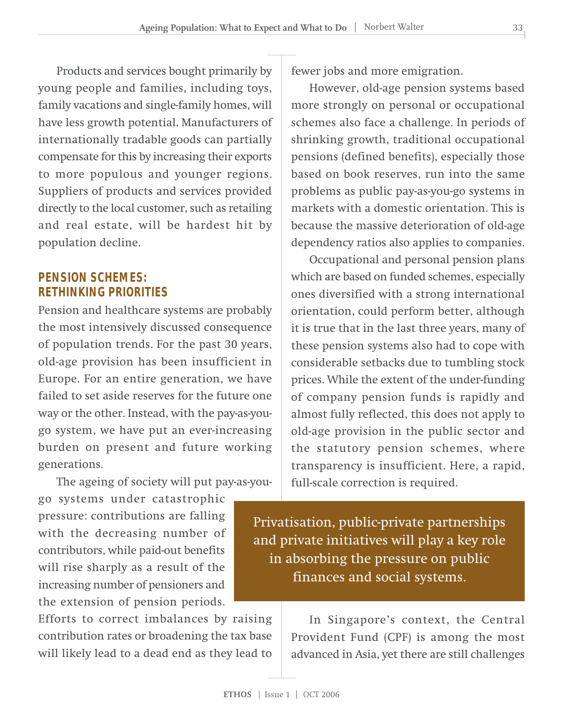Products and services bought primarily by young people and families, including toys, family vacations and single-family homes, will have less growth potential. Manufacturers of internationally tradable goods can partially compensate for this by increasing their exports to more populous and younger regions. Suppliers of products and services provided directly to the local customer, such as retailing and real estate, will be hardest hit by population decline.

#### **PENSION SCHEMES: RETHINKING PRIORITIES**

Pension and healthcare systems are probably the most intensively discussed consequence of population trends. For the past 30 years, old-age provision has been insufficient in Europe. For an entire generation, we have failed to set aside reserves for the future one way or the other. Instead, with the pay-as-yougo system, we have put an ever-increasing burden on present and future working generations.

The ageing of society will put pay-as-you-

go systems under catastrophic pressure: contributions are falling with the decreasing number of contributors, while paid-out benefits will rise sharply as a result of the increasing number of pensioners and the extension of pension periods.

Efforts to correct imbalances by raising contribution rates or broadening the tax base will likely lead to a dead end as they lead to fewer jobs and more emigration.

However, old-age pension systems based more strongly on personal or occupational schemes also face a challenge. In periods of shrinking growth, traditional occupational pensions (defined benefits), especially those based on book reserves, run into the same problems as public pay-as-you-go systems in markets with a domestic orientation. This is because the massive deterioration of old-age dependency ratios also applies to companies.

Occupational and personal pension plans which are based on funded schemes, especially ones diversified with a strong international orientation, could perform better, although it is true that in the last three years, many of these pension systems also had to cope with considerable setbacks due to tumbling stock prices. While the extent of the under-funding of company pension funds is rapidly and almost fully reflected, this does not apply to old-age provision in the public sector and the statutory pension schemes, where transparency is insufficient. Here, a rapid, full-scale correction is required.

Privatisation, public-private partnerships and private initiatives will play a key role in absorbing the pressure on public finances and social systems.

> In Singapore's context, the Central Provident Fund (CPF) is among the most advanced in Asia, yet there are still challenges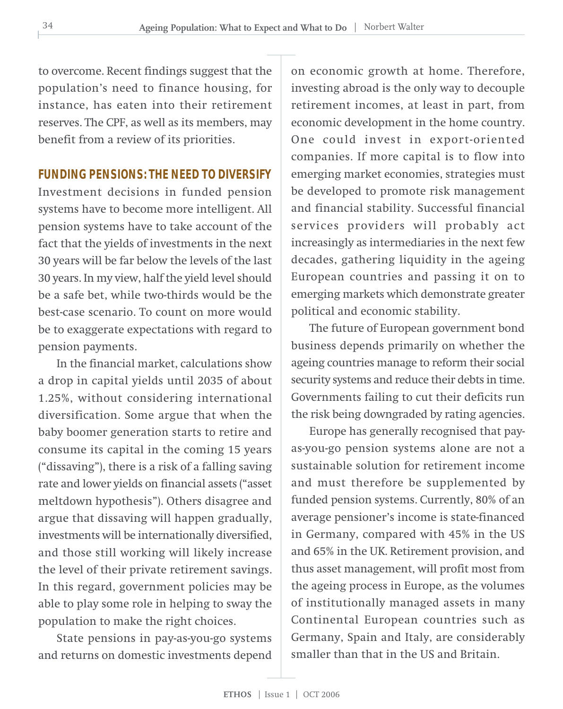to overcome. Recent findings suggest that the population's need to finance housing, for instance, has eaten into their retirement reserves. The CPF, as well as its members, may benefit from a review of its priorities.

#### **FUNDING PENSIONS: THE NEED TO DIVERSIFY**

Investment decisions in funded pension systems have to become more intelligent. All pension systems have to take account of the fact that the yields of investments in the next 30 years will be far below the levels of the last 30 years. In my view, half the yield level should be a safe bet, while two-thirds would be the best-case scenario. To count on more would be to exaggerate expectations with regard to pension payments.

In the financial market, calculations show a drop in capital yields until 2035 of about 1.25%, without considering international diversification. Some argue that when the baby boomer generation starts to retire and consume its capital in the coming 15 years ("dissaving"), there is a risk of a falling saving rate and lower yields on financial assets ("asset meltdown hypothesis"). Others disagree and argue that dissaving will happen gradually, investments will be internationally diversified, and those still working will likely increase the level of their private retirement savings. In this regard, government policies may be able to play some role in helping to sway the population to make the right choices.

State pensions in pay-as-you-go systems and returns on domestic investments depend

on economic growth at home. Therefore, investing abroad is the only way to decouple retirement incomes, at least in part, from economic development in the home country. One could invest in export-oriented companies. If more capital is to flow into emerging market economies, strategies must be developed to promote risk management and financial stability. Successful financial services providers will probably act increasingly as intermediaries in the next few decades, gathering liquidity in the ageing European countries and passing it on to emerging markets which demonstrate greater political and economic stability.

The future of European government bond business depends primarily on whether the ageing countries manage to reform their social security systems and reduce their debts in time. Governments failing to cut their deficits run the risk being downgraded by rating agencies.

Europe has generally recognised that payas-you-go pension systems alone are not a sustainable solution for retirement income and must therefore be supplemented by funded pension systems. Currently, 80% of an average pensioner's income is state-financed in Germany, compared with 45% in the US and 65% in the UK. Retirement provision, and thus asset management, will profit most from the ageing process in Europe, as the volumes of institutionally managed assets in many Continental European countries such as Germany, Spain and Italy, are considerably smaller than that in the US and Britain.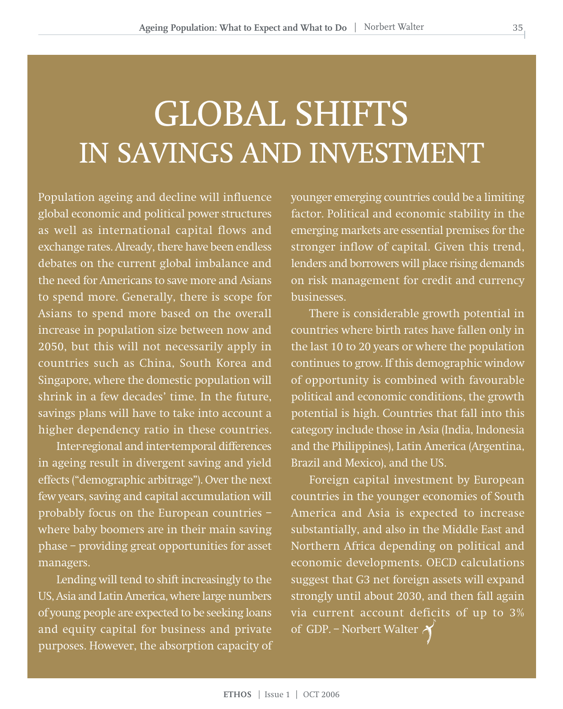## GLOBAL SHIFTS IN SAVINGS AND INVESTMENT

Population ageing and decline will influence global economic and political power structures as well as international capital flows and exchange rates. Already, there have been endless debates on the current global imbalance and the need for Americans to save more and Asians to spend more. Generally, there is scope for Asians to spend more based on the overall increase in population size between now and 2050, but this will not necessarily apply in countries such as China, South Korea and Singapore, where the domestic population will shrink in a few decades' time. In the future, savings plans will have to take into account a higher dependency ratio in these countries.

Inter-regional and inter-temporal differences in ageing result in divergent saving and yield effects ("demographic arbitrage"). Over the next few years, saving and capital accumulation will probably focus on the European countries – where baby boomers are in their main saving phase – providing great opportunities for asset managers.

Lending will tend to shift increasingly to the US, Asia and Latin America, where large numbers of young people are expected to be seeking loans and equity capital for business and private purposes. However, the absorption capacity of younger emerging countries could be a limiting factor. Political and economic stability in the emerging markets are essential premises for the stronger inflow of capital. Given this trend, lenders and borrowers will place rising demands on risk management for credit and currency businesses.

There is considerable growth potential in countries where birth rates have fallen only in the last 10 to 20 years or where the population continues to grow. If this demographic window of opportunity is combined with favourable political and economic conditions, the growth potential is high. Countries that fall into this category include those in Asia (India, Indonesia and the Philippines), Latin America (Argentina, Brazil and Mexico), and the US.

Foreign capital investment by European countries in the younger economies of South America and Asia is expected to increase substantially, and also in the Middle East and Northern Africa depending on political and economic developments. OECD calculations suggest that G3 net foreign assets will expand strongly until about 2030, and then fall again via current account deficits of up to 3% of GDP. – Norbert Walter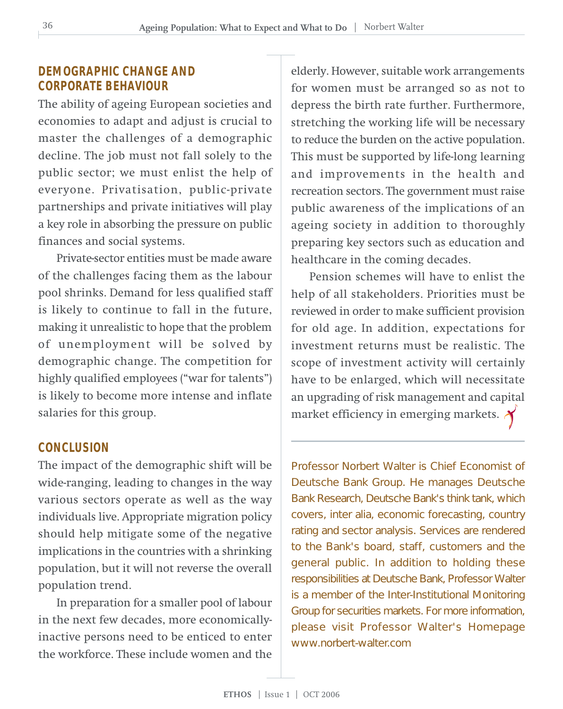#### **DEMOGRAPHIC CHANGE AND CORPORATE BEHAVIOUR**

The ability of ageing European societies and economies to adapt and adjust is crucial to master the challenges of a demographic decline. The job must not fall solely to the public sector; we must enlist the help of everyone. Privatisation, public-private partnerships and private initiatives will play a key role in absorbing the pressure on public finances and social systems.

Private-sector entities must be made aware of the challenges facing them as the labour pool shrinks. Demand for less qualified staff is likely to continue to fall in the future, making it unrealistic to hope that the problem of unemployment will be solved by demographic change. The competition for highly qualified employees ("war for talents") is likely to become more intense and inflate salaries for this group.

#### **CONCLUSION**

The impact of the demographic shift will be wide-ranging, leading to changes in the way various sectors operate as well as the way individuals live. Appropriate migration policy should help mitigate some of the negative implications in the countries with a shrinking population, but it will not reverse the overall population trend.

In preparation for a smaller pool of labour in the next few decades, more economicallyinactive persons need to be enticed to enter the workforce. These include women and the

elderly. However, suitable work arrangements for women must be arranged so as not to depress the birth rate further. Furthermore, stretching the working life will be necessary to reduce the burden on the active population. This must be supported by life-long learning and improvements in the health and recreation sectors. The government must raise public awareness of the implications of an ageing society in addition to thoroughly preparing key sectors such as education and healthcare in the coming decades.

Pension schemes will have to enlist the help of all stakeholders. Priorities must be reviewed in order to make sufficient provision for old age. In addition, expectations for investment returns must be realistic. The scope of investment activity will certainly have to be enlarged, which will necessitate an upgrading of risk management and capital market efficiency in emerging markets.  $\lambda$ 

Professor Norbert Walter is Chief Economist of Deutsche Bank Group. He manages Deutsche Bank Research, Deutsche Bank's think tank, which covers, inter alia, economic forecasting, country rating and sector analysis. Services are rendered to the Bank's board, staff, customers and the general public. In addition to holding these responsibilities at Deutsche Bank, Professor Walter is a member of the Inter-Institutional Monitoring Group for securities markets. For more information, please visit Professor Walter's Homepage www.norbert-walter.com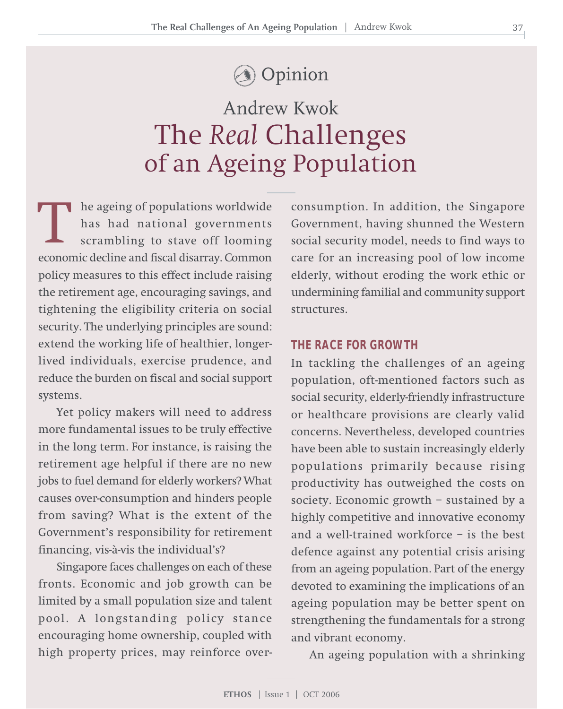## Opinion

## The *Real* Challenges of an Ageing Population Andrew Kwok

he ageing of populations worldwide has had national governments scrambling to stave off looming The ageing of populations worldwide<br>
has had national governments<br>
scrambling to stave off looming<br>
economic decline and fiscal disarray. Common policy measures to this effect include raising the retirement age, encouraging savings, and tightening the eligibility criteria on social security. The underlying principles are sound: extend the working life of healthier, longerlived individuals, exercise prudence, and reduce the burden on fiscal and social support systems.

Yet policy makers will need to address more fundamental issues to be truly effective in the long term. For instance, is raising the retirement age helpful if there are no new jobs to fuel demand for elderly workers? What causes over-consumption and hinders people from saving? What is the extent of the Government's responsibility for retirement financing, vis-à-vis the individual's?

Singapore faces challenges on each of these fronts. Economic and job growth can be limited by a small population size and talent pool. A longstanding policy stance encouraging home ownership, coupled with high property prices, may reinforce overconsumption. In addition, the Singapore Government, having shunned the Western social security model, needs to find ways to care for an increasing pool of low income elderly, without eroding the work ethic or undermining familial and community support structures.

#### **THE RACE FOR GROWTH**

In tackling the challenges of an ageing population, oft-mentioned factors such as social security, elderly-friendly infrastructure or healthcare provisions are clearly valid concerns. Nevertheless, developed countries have been able to sustain increasingly elderly populations primarily because rising productivity has outweighed the costs on society. Economic growth – sustained by a highly competitive and innovative economy and a well-trained workforce – is the best defence against any potential crisis arising from an ageing population. Part of the energy devoted to examining the implications of an ageing population may be better spent on strengthening the fundamentals for a strong and vibrant economy.

An ageing population with a shrinking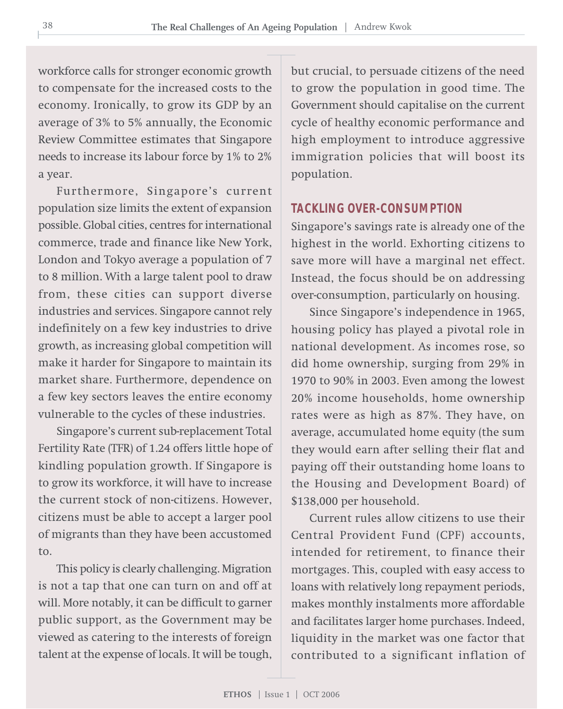workforce calls for stronger economic growth to compensate for the increased costs to the economy. Ironically, to grow its GDP by an average of 3% to 5% annually, the Economic Review Committee estimates that Singapore needs to increase its labour force by 1% to 2% a year.

Furthermore, Singapore's current population size limits the extent of expansion possible. Global cities, centres for international commerce, trade and finance like New York, London and Tokyo average a population of 7 to 8 million. With a large talent pool to draw from, these cities can support diverse industries and services. Singapore cannot rely indefinitely on a few key industries to drive growth, as increasing global competition will make it harder for Singapore to maintain its market share. Furthermore, dependence on a few key sectors leaves the entire economy vulnerable to the cycles of these industries.

Singapore's current sub-replacement Total Fertility Rate (TFR) of 1.24 offers little hope of kindling population growth. If Singapore is to grow its workforce, it will have to increase the current stock of non-citizens. However, citizens must be able to accept a larger pool of migrants than they have been accustomed to.

This policy is clearly challenging. Migration is not a tap that one can turn on and off at will. More notably, it can be difficult to garner public support, as the Government may be viewed as catering to the interests of foreign talent at the expense of locals. It will be tough,

but crucial, to persuade citizens of the need to grow the population in good time. The Government should capitalise on the current cycle of healthy economic performance and high employment to introduce aggressive immigration policies that will boost its population.

#### **TACKLING OVER-CONSUMPTION**

Singapore's savings rate is already one of the highest in the world. Exhorting citizens to save more will have a marginal net effect. Instead, the focus should be on addressing over-consumption, particularly on housing.

Since Singapore's independence in 1965, housing policy has played a pivotal role in national development. As incomes rose, so did home ownership, surging from 29% in 1970 to 90% in 2003. Even among the lowest 20% income households, home ownership rates were as high as 87%. They have, on average, accumulated home equity (the sum they would earn after selling their flat and paying off their outstanding home loans to the Housing and Development Board) of \$138,000 per household.

Current rules allow citizens to use their Central Provident Fund (CPF) accounts, intended for retirement, to finance their mortgages. This, coupled with easy access to loans with relatively long repayment periods, makes monthly instalments more affordable and facilitates larger home purchases. Indeed, liquidity in the market was one factor that contributed to a significant inflation of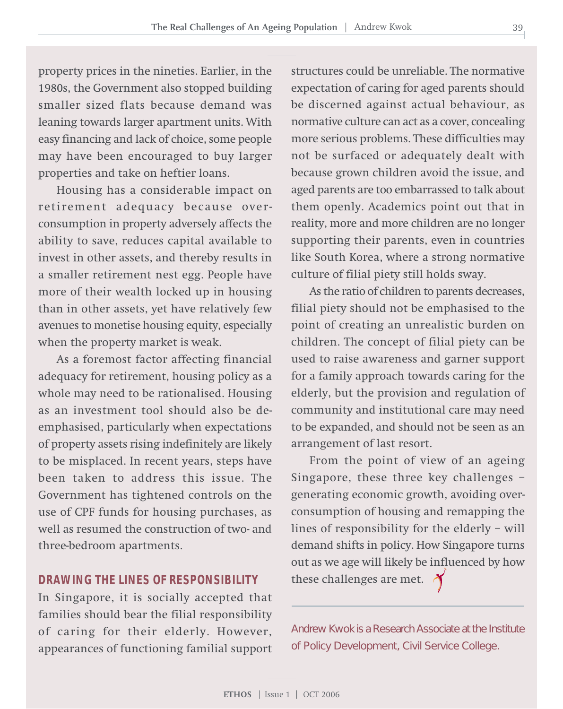property prices in the nineties. Earlier, in the 1980s, the Government also stopped building smaller sized flats because demand was leaning towards larger apartment units. With easy financing and lack of choice, some people may have been encouraged to buy larger properties and take on heftier loans.

Housing has a considerable impact on retirement adequacy because overconsumption in property adversely affects the ability to save, reduces capital available to invest in other assets, and thereby results in a smaller retirement nest egg. People have more of their wealth locked up in housing than in other assets, yet have relatively few avenues to monetise housing equity, especially when the property market is weak.

As a foremost factor affecting financial adequacy for retirement, housing policy as a whole may need to be rationalised. Housing as an investment tool should also be deemphasised, particularly when expectations of property assets rising indefinitely are likely to be misplaced. In recent years, steps have been taken to address this issue. The Government has tightened controls on the use of CPF funds for housing purchases, as well as resumed the construction of two- and three-bedroom apartments.

#### **DRAWING THE LINES OF RESPONSIBILITY**

In Singapore, it is socially accepted that families should bear the filial responsibility of caring for their elderly. However, appearances of functioning familial support structures could be unreliable. The normative expectation of caring for aged parents should be discerned against actual behaviour, as normative culture can act as a cover, concealing more serious problems. These difficulties may not be surfaced or adequately dealt with because grown children avoid the issue, and aged parents are too embarrassed to talk about them openly. Academics point out that in reality, more and more children are no longer supporting their parents, even in countries like South Korea, where a strong normative culture of filial piety still holds sway.

As the ratio of children to parents decreases, filial piety should not be emphasised to the point of creating an unrealistic burden on children. The concept of filial piety can be used to raise awareness and garner support for a family approach towards caring for the elderly, but the provision and regulation of community and institutional care may need to be expanded, and should not be seen as an arrangement of last resort.

From the point of view of an ageing Singapore, these three key challenges – generating economic growth, avoiding overconsumption of housing and remapping the lines of responsibility for the elderly – will demand shifts in policy. How Singapore turns out as we age will likely be influenced by how these challenges are met.  $\gamma$ 

Andrew Kwok is a Research Associate at the Institute of Policy Development, Civil Service College.